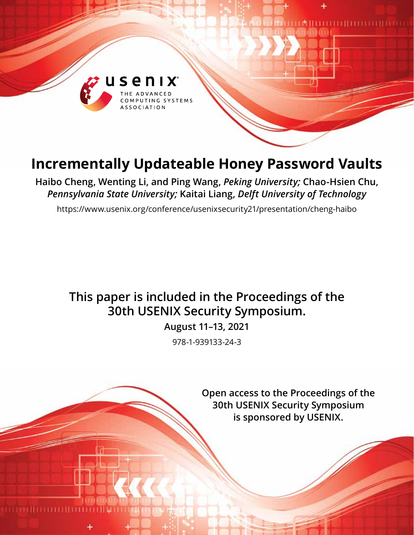

# **Incrementally Updateable Honey Password Vaults**

**Haibo Cheng, Wenting Li, and Ping Wang,** *Peking University;* **Chao-Hsien Chu,**  *Pennsylvania State University;* **Kaitai Liang,** *Delft University of Technology*

https://www.usenix.org/conference/usenixsecurity21/presentation/cheng-haibo

# **This paper is included in the Proceedings of the 30th USENIX Security Symposium.**

**August 11–13, 2021**

978-1-939133-24-3

**Open access to the Proceedings of the 30th USENIX Security Symposium is sponsored by USENIX.**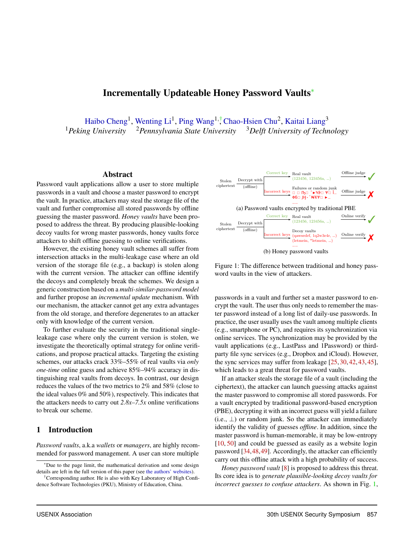# Incrementally Updateable Honey Password Vaults<sup>∗</sup>

[Haibo Cheng](mailto:hbcheng@pku.edu.cn)<sup>1</sup>, [Wenting Li](mailto:wentingli@pku.edu.cn)<sup>1</sup>, [Ping Wang](mailto:pwang@pku.edu.cn)<sup>1,†</sup> [Chao-Hsien Chu](mailto:chu@ist.psu.edu)<sup>2</sup>, [Kaitai Liang](mailto:Kaitai.Liang@tudelft.nl)<sup>3</sup> <sup>1</sup> Peking University <sup>2</sup> Pennsylvania State University <sup>3</sup> Delft University of Technology

#### Abstract

Password vault applications allow a user to store multiple passwords in a vault and choose a master password to encrypt the vault. In practice, attackers may steal the storage file of the vault and further compromise all stored passwords by offline guessing the master password. *Honey vaults* have been proposed to address the threat. By producing plausible-looking decoy vaults for wrong master passwords, honey vaults force attackers to shift offline guessing to online verifications.

However, the existing honey vault schemes all suffer from intersection attacks in the multi-leakage case where an old version of the storage file (e.g., a backup) is stolen along with the current version. The attacker can offline identify the decoys and completely break the schemes. We design a generic construction based on a *multi-similar-password model* and further propose an *incremental update* mechanism. With our mechanism, the attacker cannot get any extra advantages from the old storage, and therefore degenerates to an attacker only with knowledge of the current version.

To further evaluate the security in the traditional singleleakage case where only the current version is stolen, we investigate the theoretically optimal strategy for online verifications, and propose practical attacks. Targeting the existing schemes, our attacks crack 33%–55% of real vaults via *only one-time* online guess and achieve 85%–94% accuracy in distinguishing real vaults from decoys. In contrast, our design reduces the values of the two metrics to 2% and 58% (close to the ideal values 0% and 50%), respectively. This indicates that the attackers needs to carry out *2.8x–7.5x* online verifications to break our scheme.

#### 1 Introduction

*Password vaults*, a.k.a *wallets* or *managers*, are highly recommended for password management. A user can store multiple

<span id="page-1-0"></span>

Figure 1: The difference between traditional and honey password vaults in the view of attackers.

passwords in a vault and further set a master password to encrypt the vault. The user thus only needs to remember the master password instead of a long list of daily-use passwords. In practice, the user usually uses the vault among multiple clients (e.g., smartphone or PC), and requires its synchronization via online services. The synchronization may be provided by the vault applications (e.g., LastPass and 1Password) or thirdparty file sync services (e.g., Dropbox and iCloud). However, the sync services may suffer from leakage [\[25,](#page-15-0) [30,](#page-15-1) [42,](#page-15-2) [43,](#page-15-3) [45\]](#page-15-4), which leads to a great threat for password vaults.

If an attacker steals the storage file of a vault (including the ciphertext), the attacker can launch guessing attacks against the master password to compromise all stored passwords. For a vault encrypted by traditional password-based encryption (PBE), decrypting it with an incorrect guess will yield a failure (i.e.,  $\perp$ ) or random junk. So the attacker can immediately identify the validity of guesses *offline*. In addition, since the master password is human-memorable, it may be low-entropy [\[10,](#page-14-0) [50\]](#page-15-5) and could be guessed as easily as a website login password [\[34,](#page-15-6)[48,](#page-15-7)[49\]](#page-15-8). Accordingly, the attacker can efficiently carry out this offline attack with a high probability of success.

*Honey password vault* [\[8\]](#page-14-1) is proposed to address this threat. Its core idea is to *generate plausible-looking decoy vaults for incorrect guesses to confuse attackers*. As shown in Fig. [1,](#page-1-0)

<sup>∗</sup>Due to the page limit, the mathematical derivation and some design details are left in the full version of this paper (see [the authors' websites\)](https://hbcheng.net).

<sup>†</sup>Corresponding author. He is also with Key Laboratory of High Confidence Software Technologies (PKU), Ministry of Education, China.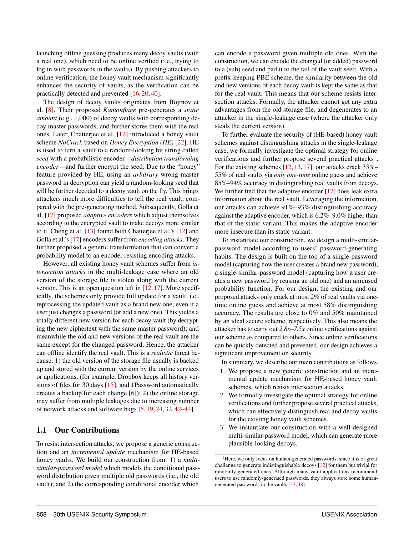launching offline guessing produces many decoy vaults (with a real one), which need to be online verified (i.e., trying to log in with passwords in the vaults). By pushing attackers to online verification, the honey vault mechanism significantly enhances the security of vaults, as the verification can be practically detected and prevented [\[16,](#page-14-2) [20,](#page-14-3) [40\]](#page-15-9).

The design of decoy vaults originates from Bojinov et al. [\[8\]](#page-14-1). Their proposed *Kamouflage* pre-generates a *static amount* (e.g., 1,000) of decoy vaults with corresponding decoy master passwords, and further stores them with the real ones. Later, Chatterjee et al. [\[12\]](#page-14-4) introduced a honey vault scheme *NoCrack* based on *Honey Encryption (HE)* [\[22\]](#page-15-10). HE is used to turn a vault to a random-looking bit string called *seed* with a probabilistic encoder—*distribution transforming encoder*—and further encrypt the seed. Due to the "honey" feature provided by HE, using an *arbitrary* wrong master password in decryption can yield a random-looking seed that will be further decoded to a decoy vault on the fly. This brings attackers much more difficulties to tell the real vault, compared with the pre-generating method. Subsequently, Golla et al. [\[17\]](#page-14-5) proposed *adaptive encoders* which adjust themselves according to the encrypted vault to make decoys more similar to it. Cheng et al. [\[13\]](#page-14-6) found both Chatterjee et al.'s [\[12\]](#page-14-4) and Golla et al.'s [\[17\]](#page-14-5) encoders suffer from *encoding attacks*. They further proposed a generic transformation that can convert a probability model to an encoder resisting encoding attacks.

However, all existing honey vault schemes suffer from *intersection attacks* in the multi-leakage case where an old version of the storage file is stolen along with the current version. This is an open question left in [\[12,](#page-14-4) [17\]](#page-14-5). More specifically, the schemes only provide full update for a vault, i.e., reprocessing the updated vault as a brand new one, even if a user just changes a password (or add a new one). This yields a totally different new version for each decoy vault (by decrypting the new ciphertext with the same master password); and meanwhile the old and new versions of the real vault are the same except for the changed password. Hence, the attacker can offline identify the real vault. This is a *realistic* threat because: 1) the old version of the storage file usually is backed up and stored with the current version by the online services or applications, (for example, Dropbox keeps all history versions of files for 30 days [\[15\]](#page-14-7), and 1Password automatically creates a backup for each change  $[6]$ ; 2) the online storage may suffer from multiple leakages due to increasing number of network attacks and software bugs [\[5,](#page-14-9) [19,](#page-14-10) [24,](#page-15-11) [32,](#page-15-12) [42–](#page-15-2)[44\]](#page-15-13).

## 1.1 Our Contributions

To resist intersection attacks, we propose a generic construction and an *incremental update* mechanism for HE-based honey vaults. We build our construction from: 1) a *multisimilar-password model* which models the conditional password distribution given multiple old passwords (i.e., the old vault); and 2) the corresponding conditional encoder which

can encode a password given multiple old ones. With the construction, we can encode the changed (or added) password to a (sub) seed and pad it to the tail of the vault seed. With a prefix-keeping PBE scheme, the similarity between the old and new versions of each decoy vault is kept the same as that for the real vault. This means that our scheme resists intersection attacks. Formally, the attacker cannot get any extra advantages from the old storage file, and degenerates to an attacker in the single-leakage case (where the attacker only steals the current version).

To further evaluate the security of (HE-based) honey vault schemes against distinguishing attacks in the single-leakage case, we formally investigate the optimal strategy for online verifications and further propose several practical attacks<sup>[1](#page-2-0)</sup>. For the existing schemes [\[12,](#page-14-4) [13,](#page-14-6) [17\]](#page-14-5), our attacks crack 33%– 55% of real vaults via *only one-time* online guess and achieve 85%–94% accuracy in distinguishing real vaults from decoys. We further find that the adaptive encoder [\[17\]](#page-14-5) does leak extra information about the real vault. Leveraging the information, our attacks can achieve 91%–93% distinguishing accuracy against the adaptive encoder, which is 6.2%–9.0% higher than that of the static variant. This makes the adaptive encoder more insecure than its static variant.

To instantiate our construction, we design a multi-similarpassword model according to users' password-generating habits. The design is built on the top of a single-password model (capturing how the user creates a brand new password), a single-similar-password model (capturing how a user creates a new password by reusing an old one) and an unreused probability function. For our design, the existing and our proposed attacks only crack at most 2% of real vaults via onetime online guess and achieve at most 58% distinguishing accuracy. The results are close to 0% and 50% maintained by an ideal secure scheme, respectively. This also means the attacker has to carry out *2.8x–7.5x* online verifications against our scheme as compared to others. Since online verifications can be quickly detected and prevented, our design achieves a significant improvement on security.

In summary, we describe our main contributions as follows.

- 1. We propose a new generic construction and an incremental update mechanism for HE-based honey vault schemes, which resists intersection attacks.
- 2. We formally investigate the optimal strategy for online verifications and further propose several practical attacks, which can effectively distinguish real and decoy vaults for the existing honey vault schemes.
- 3. We instantiate our construction with a well-designed multi-similar-password model, which can generate more plausible-looking decoys.

<span id="page-2-0"></span><sup>&</sup>lt;sup>1</sup>Here, we only focus on human-generated passwords, since it is of great challenge to generate indistinguishable decoys [\[12\]](#page-14-4) for them but trivial for randomly-generated ones. Although many vault applications recommend users to use randomly-generated passwords, they always store some humangenerated passwords in the vaults [\[33,](#page-15-14) [38\]](#page-15-15).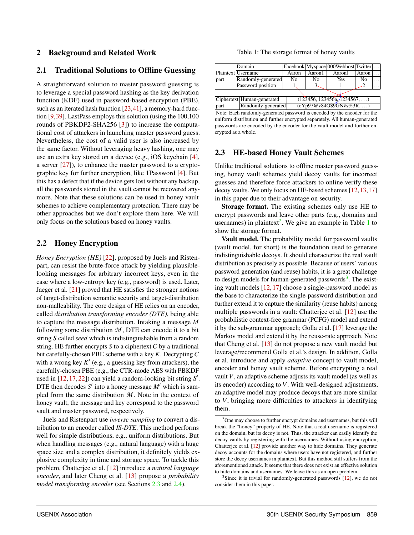# 2 Background and Related Work

# 2.1 Traditional Solutions to Offline Guessing

A straightforward solution to master password guessing is to leverage a special password hashing as the key derivation function (KDF) used in password-based encryption (PBE), such as an iterated hash function [\[23,](#page-15-16)[41\]](#page-15-17), a memory-hard function [\[9,](#page-14-11)[39\]](#page-15-18). LastPass employs this solution (using the 100,100 rounds of PBKDF2-SHA256 [\[3\]](#page-14-12)) to increase the computational cost of attackers in launching master password guess. Nevertheless, the cost of a valid user is also increased by the same factor. Without leveraging heavy hashing, one may use an extra key stored on a device (e.g., iOS keychain [\[4\]](#page-14-13), a server [\[27\]](#page-15-19)), to enhance the master password to a cryptographic key for further encryption, like 1Password [\[4\]](#page-14-13). But this has a defect that if the device gets lost without any backup, all the passwords stored in the vault cannot be recovered anymore. Note that these solutions can be used in honey vault schemes to achieve complementary protection. There may be other approaches but we don't explore them here. We will only focus on the solutions based on honey vaults.

## 2.2 Honey Encryption

*Honey Encryption (HE)* [\[22\]](#page-15-10), proposed by Juels and Ristenpart, can resist the brute-force attack by yielding plausiblelooking messages for arbitrary incorrect keys, even in the case where a low-entropy key (e.g., password) is used. Later, Jaeger et al. [\[21\]](#page-15-20) proved that HE satisfies the stronger notions of target-distribution semantic security and target-distribution non-malleability. The core design of HE relies on an encoder, called *distribution transforming encoder (DTE)*, being able to capture the message distribution. Intaking a message *M* following some distribution  $M$ , DTE can encode it to a bit string *S* called *seed* which is indistinguishable from a random string. HE further encrypts *S* to a ciphertext *C* by a traditional but carefully-chosen PBE scheme with a key *K*. Decrypting *C* with a wrong key  $K'$  (e.g., a guessing key from attackers), the carefully-chosen PBE (e.g., the CTR-mode AES with PBKDF used in [\[12,](#page-14-4) [17,](#page-14-5) [22\]](#page-15-10)) can yield a random-looking bit string S'. DTE then decodes  $S'$  into a honey message  $M'$  which is sampled from the same distribution *M* . Note in the context of honey vault, the message and key correspond to the password vault and master password, respectively.

Juels and Ristenpart use *inverse sampling* to convert a distribution to an encoder called *IS-DTE*. This method performs well for simple distributions, e.g., uniform distributions. But when handling messages (e.g., natural language) with a huge space size and a complex distribution, it definitely yields explosive complexity in time and storage space. To tackle this problem, Chatterjee et al. [\[12\]](#page-14-4) introduce a *natural language encoder*, and later Cheng et al. [\[13\]](#page-14-6) propose a *probability model transforming encoder* (see Sections [2.3](#page-3-0) and [2.4\)](#page-4-0).

Table 1: The storage format of honey vaults

<span id="page-3-2"></span>

|      | Domain                     |                |         | Facebook Myspace 000Webhost Twitter |       |   |  |  |
|------|----------------------------|----------------|---------|-------------------------------------|-------|---|--|--|
|      | Plaintext Username         | Aaron          | Aaron 1 | AaronJ                              | Aaron |   |  |  |
| part | Randomly-generated         | N <sub>0</sub> | Nο      | Yes                                 | No    |   |  |  |
|      | Password position          |                |         |                                     |       | . |  |  |
|      |                            |                |         |                                     |       |   |  |  |
|      | Ciphertext Human-generated |                |         | (123456, 123456a, 1234567, )        |       |   |  |  |

part Randomly-generated  $(cYp97@v84G$9GN$ $\hat{v}$ s%3R, ...)$ Note: Each randomly-generated password is encoded by the encoder for the uniform distribution and further encrypted separately. All human-generated passwords are encoded by the encoder for the vault model and further encrypted as a whole.

## <span id="page-3-0"></span>2.3 HE-based Honey Vault Schemes

Unlike traditional solutions to offline master password guessing, honey vault schemes yield decoy vaults for incorrect guesses and therefore force attackers to online verify these decoy vaults. We only focus on HE-based schemes [\[12,](#page-14-4)[13,](#page-14-6)[17\]](#page-14-5) in this paper due to their advantage on security.

Storage format. The existing schemes only use HE to encrypt passwords and leave other parts (e.g., domains and usernames) in plaintext<sup>[2](#page-3-1)</sup>. We give an example in Table  $1$  to show the storage format.

Vault model. The probability model for password vaults (vault model, for short) is the foundation used to generate indistinguishable decoys. It should characterize the real vault distribution as precisely as possible. Because of users' various password generation (and reuse) habits, it is a great challenge to design models for human-generated passwords<sup>[3](#page-3-3)</sup>. The existing vault models [\[12,](#page-14-4) [17\]](#page-14-5) choose a single-password model as the base to characterize the single-password distribution and further extend it to capture the similarity (reuse habits) among multiple passwords in a vault: Chatterjee et al. [\[12\]](#page-14-4) use the probabilistic context-free grammar (PCFG) model and extend it by the sub-grammar approach; Golla et al. [\[17\]](#page-14-5) leverage the Markov model and extend it by the reuse-rate approach. Note that Cheng et al. [\[13\]](#page-14-6) do not propose a new vault model but leverage/recommend Golla et al.'s design. In addition, Golla et al. introduce and apply *adaptive* concept to vault model, encoder and honey vault scheme. Before encrypting a real vault *V*, an adaptive scheme adjusts its vault model (as well as its encoder) according to *V*. With well-designed adjustments, an adaptive model may produce decoys that are more similar to *V*, bringing more difficulties to attackers in identifying them.

<span id="page-3-1"></span> $2$ One may choose to further encrypt domains and usernames, but this will break the "honey" property of HE. Note that a real username is registered on the domain, but its decoy is not. Thus, the attacker can easily identify the decoy vaults by registering with the usernames. Without using encryption, Chatterjee et al. [\[12\]](#page-14-4) provide another way to hide domains. They generate decoy accounts for the domains where users have not registered, and further store the decoy usernames in plaintext. But this method still suffers from the aforementioned attack. It seems that there does not exist an effective solution to hide domains and usernames. We leave this as an open problem.

<span id="page-3-3"></span> $3$ Since it is trivial for randomly-generated passwords [\[12\]](#page-14-4), we do not consider them in this paper.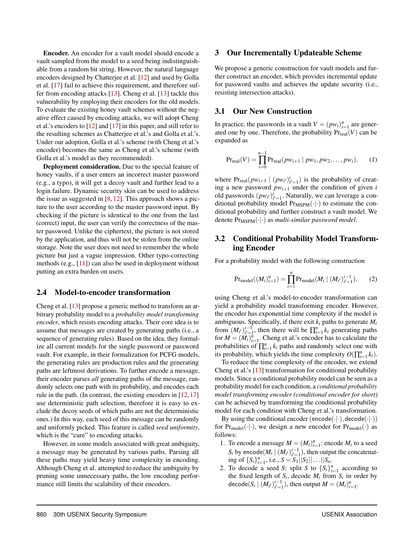Encoder. An encoder for a vault model should encode a vault sampled from the model to a seed being indistinguishable from a random bit string. However, the natural language encoders designed by Chatterjee et al. [\[12\]](#page-14-4) and used by Golla et al. [\[17\]](#page-14-5) fail to achieve this requirement, and therefore suffer from encoding attacks [\[13\]](#page-14-6). Cheng et al. [\[13\]](#page-14-6) tackle this vulnerability by employing their encoders for the old models. To evaluate the existing honey vault schemes without the negative effect caused by encoding attacks, we will adopt Cheng et al.'s encoders to [\[12\]](#page-14-4) and [\[17\]](#page-14-5) in this paper, and still refer to the resulting schemes as Chatterjee et al.'s and Golla et al.'s. Under our adoption, Golla et al.'s scheme (with Cheng et al.'s encoder) becomes the same as Cheng et al.'s scheme (with Golla et al.'s model as they recommended).

Deployment consideration. Due to the special feature of honey vaults, if a user enters an incorrect master password (e.g., a typo), it will get a decoy vault and further lead to a login failure. Dynamic security skin can be used to address the issue as suggested in  $[8, 12]$  $[8, 12]$  $[8, 12]$ . This approach shows a picture to the user according to the master password input. By checking if the picture is identical to the one from the last (correct) input, the user can verify the correctness of the master password. Unlike the ciphertext, the picture is not stored by the application, and thus will not be stolen from the online storage. Note the user does not need to remember the whole picture but just a vague impression. Other typo-correcting methods (e.g., [\[11\]](#page-14-14)) can also be used in deployment without putting an extra burden on users.

#### <span id="page-4-0"></span>2.4 Model-to-encoder transformation

Cheng et al. [\[13\]](#page-14-6) propose a generic method to transform an arbitrary probability model to a *probability model transforming encoder*, which resists encoding attacks. Their core idea is to assume that messages are created by generating paths (i.e., a sequence of generating rules). Based on the idea, they formalize all current models for the single password or password vault. For example, in their formalization for PCFG models, the generating rules are production rules and the generating paths are leftmost derivations. To further encode a message, their encoder parses *all* generating paths of the message, randomly selects one path with its probability, and encodes each rule in the path. (In contrast, the existing encoders in [\[12,](#page-14-4) [17\]](#page-14-5) use deterministic path selection, therefore it is easy to exclude the decoy seeds of which paths are not the deterministic ones.) In this way, each seed of this message can be randomly and uniformly picked. This feature is called *seed uniformity*, which is the "cure" to encoding attacks.

However, in some models associated with great ambiguity, a message may be generated by various paths. Parsing all these paths may yield heavy time complexity in encoding. Although Cheng et al. attempted to reduce the ambiguity by pruning some unnecessary paths, the low encoding performance still limits the scalability of their encoders.

### 3 Our Incrementally Updateable Scheme

We propose a generic construction for vault models and further construct an encoder, which provides incremental update for password vaults and achieves the update security (i.e., resisting intersection attacks).

# 3.1 Our New Construction

In practice, the passwords in a vault  $V = (p w_i)_{i=1}^n$  are generated one by one. Therefore, the probability  $Pr_{real}(V)$  can be expanded as

<span id="page-4-1"></span>
$$
Pr_{\text{real}}(V) = \prod_{i=0}^{n-1} Pr_{\text{real}}(pw_{i+1} | pw_1, pw_2, \dots, pw_i), \quad (1)
$$

where  $Pr_{\text{real}}(pw_{i+1} | (pw_{i'})_{i'=1}^i)$  is the probability of creating a new password  $pw_{i+1}$  under the condition of given *i* old passwords  $(pw_{i'})_{i'=1}^i$ . Naturally, we can leverage a conditional probability model  $Pr_{MSPM}(\cdot|\cdot)$  to estimate the conditional probability and further construct a vault model. We denote  $Pr_{MSPM}(\cdot|\cdot)$  as *multi-similar password model*.

# <span id="page-4-2"></span>3.2 Conditional Probability Model Transforming Encoder

For a probability model with the following construction

$$
\Pr_{\text{model}}((M_i)_{i=1}^n) = \prod_{i=1}^n \Pr_{\text{model}}(M_i \mid (M_{i'})_{i'=1}^{i-1}), \tag{2}
$$

using Cheng et al.'s model-to-encoder transformation can yield a probability model transforming encoder. However, the encoder has exponential time complexity if the model is ambiguous. Specifically, if there exit *k<sup>i</sup>* paths to generate *M<sup>i</sup>* from  $(M_{i'})_{i'=1}^{i-1}$ , then there will be  $\prod_{i=1}^{n} k_i$  generating paths for  $M = (M_i)_{i=1}^{\hat{n}}$ . Cheng et al.'s encoder has to calculate the probabilities of  $\prod_{i=1}^{n} k_i$  paths and randomly select one with its probability, which yields the time complexity  $O(\prod_{i=1}^{n} k_i)$ .

To reduce the time complexity of the encoder, we extend Cheng et al.'s [\[13\]](#page-14-6) transformation for conditional probability models. Since a conditional probability model can be seen as a probability model for each condition, a *conditional probability model transforming encoder (conditional encoder for short)* can be achieved by transforming the conditional probability model for each condition with Cheng et al.'s transformation.

By using the conditional encoder (encode( $\cdot | \cdot$ ), decode( $\cdot | \cdot$ )) for  $Pr_{model}(\cdot|\cdot)$ , we design a new encoder for  $Pr_{model}(\cdot)$  as follows:

- 1. To encode a message  $M = (M_i)_{i=1}^n$ : encode  $M_i$  to a seed  $S_i$  by encode $(M_i | (M_{i'})_{i'=1}^{i-1})$ , then output the concatenating of  $\{S_i\}_{i=1}^n$ , i.e.,  $S = S_1 ||S_2|| \dots ||S_n$ .
- 2. To decode a seed *S*: split *S* to  $\{S_i\}_{i=1}^n$  according to the fixed length of  $S_i$ , decode  $M_i$  from  $S_i$  in order by decode( $S_i \mid (M_{i'})_{i'=1}^{i-1}$ ), then output  $M = (M_i)_{i=1}^n$ .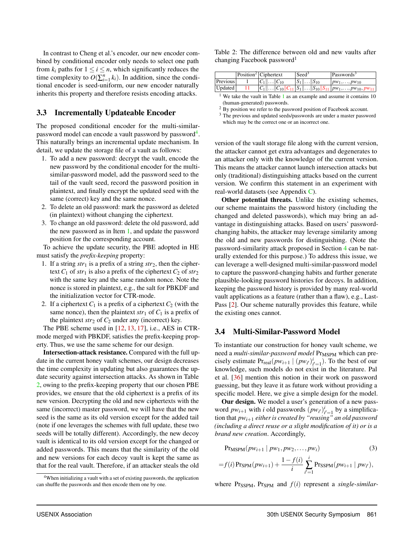In contrast to Cheng et al.'s encoder, our new encoder combined by conditional encoder only needs to select one path from  $k_i$  paths for  $1 \le i \le n$ , which significantly reduces the time complexity to  $O(\sum_{i=1}^{n} k_i)$ . In addition, since the conditional encoder is seed-uniform, our new encoder naturally inherits this property and therefore resists encoding attacks.

# <span id="page-5-4"></span>3.3 Incrementally Updateable Encoder

The proposed conditional encoder for the multi-similarpassword model can encode a vault password by password $^4$  $^4$ . This naturally brings an incremental update mechanism. In detail, we update the storage file of a vault as follows:

- <span id="page-5-1"></span>1. To add a new password: decrypt the vault, encode the new password by the conditional encoder for the multisimilar-password model, add the password seed to the tail of the vault seed, record the password position in plaintext, and finally encrypt the updated seed with the same (correct) key and the same nonce.
- 2. To delete an old password: mark the password as deleted (in plaintext) without changing the ciphertext.
- 3. To change an old password: delete the old password, add the new password as in Item [1,](#page-5-1) and update the password position for the corresponding account.

To achieve the update security, the PBE adopted in HE must satisfy the *prefix-keeping* property:

- 1. If a string  $str_1$  is a prefix of a string  $str_2$ , then the ciphertext  $C_1$  of  $str_1$  is also a prefix of the ciphertext  $C_2$  of  $str_2$ with the same key and the same random nonce. Note the nonce is stored in plaintext, e.g., the salt for PBKDF and the initialization vector for CTR-mode.
- 2. If a ciphertext  $C_1$  is a prefix of a ciphertext  $C_2$  (with the same nonce), then the plaintext  $str_1$  of  $C_1$  is a prefix of the plaintext  $str_2$  of  $C_2$  under any (incorrect) key.

The PBE scheme used in [\[12,](#page-14-4) [13,](#page-14-6) [17\]](#page-14-5), i.e., AES in CTRmode merged with PBKDF, satisfies the prefix-keeping property. Thus, we use the same scheme for our design.

Intersection-attack resistance. Compared with the full update in the current honey vault schemes, our design decreases the time complexity in updating but also guarantees the update security against intersection attacks. As shown in Table [2,](#page-5-2) owing to the prefix-keeping property that our chosen PBE provides, we ensure that the old ciphertext is a prefix of its new version. Decrypting the old and new ciphertexts with the same (incorrect) master password, we will have that the new seed is the same as its old version except for the added tail (note if one leverages the schemes with full update, these two seeds will be totally different). Accordingly, the new decoy vault is identical to its old version except for the changed or added passwords. This means that the similarity of the old and new versions for each decoy vault is kept the same as that for the real vault. Therefore, if an attacker steals the old

<span id="page-5-2"></span>

|  | Table 2: The difference between old and new vaults after |  |  |  |
|--|----------------------------------------------------------|--|--|--|
|  | changing Facebook password <sup>1</sup>                  |  |  |  |

|          | Position <sup>2</sup> Ciphertext | Seed <sup>3</sup>        | Passwords <sup>3</sup>                                                           |
|----------|----------------------------------|--------------------------|----------------------------------------------------------------------------------|
| Previous | $  C_1    C_{10}$                | $  S_1   \dots   S_{10}$ | $ pw_1,\ldots,pw_{10}\rangle$                                                    |
| Updated  |                                  |                          | $\overline{ C_1    C_{10}  C_{11} S_1    S_{10}  S_{11} pw_1,,pw_{10},pw_{11} }$ |

<sup>&</sup>lt;sup>[1](#page-3-2)</sup> We take the vault in Table  $1$  as an example and assume it contains 10 (human-generated) passwords.

version of the vault storage file along with the current version, the attacker cannot get extra advantages and degenerates to an attacker only with the knowledge of the current version. This means the attacker cannot launch intersection attacks but only (traditional) distinguishing attacks based on the current version. We confirm this statement in an experiment with real-world datasets (see Appendix [C\)](#page-17-0).

Other potential threats. Unlike the existing schemes, our scheme maintains the password history (including the changed and deleted passwords), which may bring an advantage in distinguishing attacks. Based on users' passwordchanging habits, the attacker may leverage similarity among the old and new passwords for distinguishing. (Note the password-similarity attack proposed in Section [4](#page-7-0) can be naturally extended for this purpose.) To address this issue, we can leverage a well-designed multi-similar-password model to capture the password-changing habits and further generate plausible-looking password histories for decoys. In addition, keeping the password history is provided by many real-world vault applications as a feature (rather than a flaw), e.g., Last-Pass [\[2\]](#page-14-15). Our scheme naturally provides this feature, while the existing ones cannot.

# <span id="page-5-5"></span>3.4 Multi-Similar-Password Model

To instantiate our construction for honey vault scheme, we need a *multi-similar-password model* Pr<sub>MSPM</sub> which can precisely estimate  $Pr_{real}(pw_{i+1} | (pw_{i'})_{i'=1}^i)$ . To the best of our knowledge, such models do not exist in the literature. Pal et al. [\[36\]](#page-15-21) mention this notion in their work on password guessing, but they leave it as future work without providing a specific model. Here, we give a simple design for the model.

Our design. We model a user's generation of a new password  $pw_{i+1}$  with *i* old passwords  $(pw_{i'})_{i'=1}^i$  by a simplification that *pwi*+<sup>1</sup> *either is created by "reusing" an old password (including a direct reuse or a slight modification of it) or is a brand new creation*. Accordingly,

<span id="page-5-3"></span>
$$
PrMSPM(pwi+1 | pw1, pw2, ..., pwi)
$$
\n(3)

$$
= f(i) \Pr_{SPM}(pw_{i+1}) + \frac{1 - f(i)}{i} \sum_{i'=1}^{i} \Pr_{SSPM}(pw_{i+1} | pw_{i'}),
$$

where  $Pr_{SSPM}$ ,  $Pr_{SPM}$  and  $f(i)$  represent a *single-similar-*

<span id="page-5-0"></span><sup>&</sup>lt;sup>4</sup>When initializing a vault with a set of existing passwords, the application can shuffle the passwords and then encode them one by one.

<sup>&</sup>lt;sup>2</sup> By position we refer to the password position of Facebook account.

<sup>&</sup>lt;sup>3</sup> The previous and updated seeds/passwords are under a master password which may be the correct one or an incorrect one.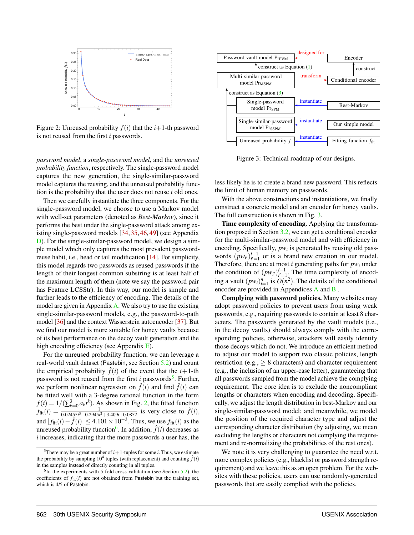<span id="page-6-1"></span>

Figure 2: Unreused probability  $f(i)$  that the  $i+1$ -th password is not reused from the first *i* passwords.

*password model*, a *single-password model*, and the *unreused probability function*, respectively. The single-password model captures the new generation, the single-similar-password model captures the reusing, and the unreused probability function is the probability that the user does not reuse *i* old ones.

Then we carefully instantiate the three components. For the single-password model, we choose to use a Markov model with well-set parameters (denoted as *Best-Markov*), since it performs the best under the single-password attack among existing single-password models [\[34,](#page-15-6) [35,](#page-15-22) [46,](#page-15-23) [49\]](#page-15-8) (see Appendix [D\)](#page-17-1). For the single-similar-password model, we design a simple model which only captures the most prevalent passwordreuse habit, i.e., head or tail modification [\[14\]](#page-14-16). For simplicity, this model regards two passwords as reused passwords if the length of their longest common substring is at least half of the maximum length of them (note we say the password pair has Feature LCSStr). In this way, our model is simple and further leads to the efficiency of encoding. The details of the model are given in Appendix [A.](#page-15-24) We also try to use the existing single-similar-password models, e.g., the password-to-path model [\[36\]](#page-15-21) and the context Wasserstein autoencoder [\[37\]](#page-15-25). But we find our model is more suitable for honey vaults because of its best performance on the decoy vault generation and the high encoding efficiency (see Appendix  $E$ ).

For the unreused probability function, we can leverage a real-world vault dataset (Pastebin, see Section [5.2\)](#page-11-0) and count the empirical probability  $\hat{f}(i)$  of the event that the  $i+1$ -th password is not reused from the first *i* passwords<sup>[5](#page-6-0)</sup>. Further, we perform nonlinear regression on  $\hat{f}(i)$  and find  $\hat{f}(i)$  can be fitted well with a 3-degree rational function in the form  $f(i) = 1/(\sum_{k=0}^{3} a_k i^k)$ . As shown in Fig. [2,](#page-6-1) the fitted function  $f_{\text{fit}}(i) = \frac{1}{0.02455i^3 - 0.2945i^2 + 3.409i + 0.0852}$  is very close to  $\hat{f}(i)$ , and  $|f_{\text{fit}}(i) - \hat{f}(i)|$  ≤ 4.101 × 10<sup>-3</sup>. Thus, we use  $f_{\text{fit}}(i)$  as the unreused probability function<sup>[6](#page-6-2)</sup>. In addition,  $\hat{f}(i)$  decreases as *i* increases, indicating that the more passwords a user has, the

<span id="page-6-3"></span>

Figure 3: Technical roadmap of our designs.

less likely he is to create a brand new password. This reflects the limit of human memory on passwords.

With the above constructions and instantiations, we finally construct a concrete model and an encoder for honey vaults. The full construction is shown in Fig. [3.](#page-6-3)

Time complexity of encoding. Applying the transformation proposed in Section [3.2,](#page-4-2) we can get a conditional encoder for the multi-similar-password model and with efficiency in encoding. Specifically, *pw<sup>i</sup>* is generated by reusing old passwords  $(pw_{i'})_{i'=1}^{i-1}$  or is a brand new creation in our model. Therefore, there are at most *i* generating paths for *pw<sup>i</sup>* under the condition of  $(pw_{i'})_{i'=1}^{i-1}$ . The time complexity of encoding a vault  $(pw_i)_{i=1}^n$  is  $O(n^2)$ . The details of the conditional encoder are provided in Appendices [A](#page-15-24) and [B](#page-16-0) .

Complying with password policies. Many websites may adopt password policies to prevent users from using weak passwords, e.g., requiring passwords to contain at least 8 characters. The passwords generated by the vault models (i.e., in the decoy vaults) should always comply with the corresponding policies, otherwise, attackers will easily identify those decoys which do not. We introduce an efficient method to adjust our model to support two classic policies, length restriction (e.g.,  $\geq 8$  characters) and character requirement (e.g., the inclusion of an upper-case letter), guaranteeing that all passwords sampled from the model achieve the complying requirement. The core idea is to exclude the noncompliant lengths or characters when encoding and decoding. Specifically, we adjust the length distribution in best-Markov and our single-similar-password model; and meanwhile, we model the position of the required character type and adjust the corresponding character distribution (by adjusting, we mean excluding the lengths or characters not complying the requirement and re-normalizing the probabilities of the rest ones).

We note it is very challenging to guarantee the need w.r.t. more complex policies (e.g., blacklist or password strength requirement) and we leave this as an open problem. For the websites with these policies, users can use randomly-generated passwords that are easily complied with the policies.

<span id="page-6-0"></span><sup>&</sup>lt;sup>5</sup>There may be a great number of  $i+1$ -tuples for some  $i$ . Thus, we estimate the probability by sampling  $10^4$  tuples (with replacement) and counting  $\hat{f}(i)$ in the samples instead of directly counting in all tuples.

<span id="page-6-2"></span> ${}^{6}$ In the experiments with 5-fold cross-validation (see Section [5.2\)](#page-11-0), the coefficients of  $f_{\text{fit}}(i)$  are not obtained from Pastebin but the training set, which is 4/5 of Pastebin.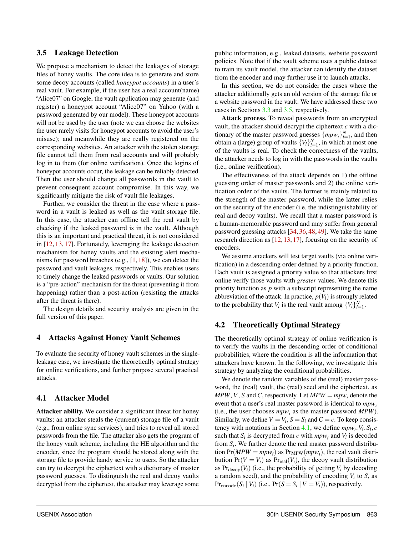## <span id="page-7-1"></span>3.5 Leakage Detection

We propose a mechanism to detect the leakages of storage files of honey vaults. The core idea is to generate and store some decoy accounts (called *honeypot accounts*) in a user's real vault. For example, if the user has a real account(name) "Alice07" on Google, the vault application may generate (and register) a honeypot account "Alice07" on Yahoo (with a password generated by our model). These honeypot accounts will not be used by the user (note we can choose the websites the user rarely visits for honeypot accounts to avoid the user's misuse); and meanwhile they are really registered on the corresponding websites. An attacker with the stolen storage file cannot tell them from real accounts and will probably log in to them (for online verification). Once the logins of honeypot accounts occur, the leakage can be reliably detected. Then the user should change all passwords in the vault to prevent consequent account compromise. In this way, we significantly mitigate the risk of vault file leakages.

Further, we consider the threat in the case where a password in a vault is leaked as well as the vault storage file. In this case, the attacker can offline tell the real vault by checking if the leaked password is in the vault. Although this is an important and practical threat, it is not considered in [\[12,](#page-14-4) [13,](#page-14-6) [17\]](#page-14-5). Fortunately, leveraging the leakage detection mechanism for honey vaults and the existing alert mechanisms for password breaches (e.g., [\[1,](#page-14-17) [18\]](#page-14-18)), we can detect the password and vault leakages, respectively. This enables users to timely change the leaked passwords or vaults. Our solution is a "pre-action" mechanism for the threat (preventing it from happening) rather than a post-action (resisting the attacks after the threat is there).

The design details and security analysis are given in the full version of this paper.

# <span id="page-7-0"></span>4 Attacks Against Honey Vault Schemes

To evaluate the security of honey vault schemes in the singleleakage case, we investigate the theoretically optimal strategy for online verifications, and further propose several practical attacks.

# <span id="page-7-2"></span>4.1 Attacker Model

Attacker ability. We consider a significant threat for honey vaults: an attacker steals the (current) storage file of a vault (e.g., from online sync services), and tries to reveal all stored passwords from the file. The attacker also gets the program of the honey vault scheme, including the HE algorithm and the encoder, since the program should be stored along with the storage file to provide handy service to users. So the attacker can try to decrypt the ciphertext with a dictionary of master password guesses. To distinguish the real and decoy vaults decrypted from the ciphertext, the attacker may leverage some

public information, e.g., leaked datasets, website password policies. Note that if the vault scheme uses a public dataset to train its vault model, the attacker can identify the dataset from the encoder and may further use it to launch attacks.

In this section, we do not consider the cases where the attacker additionally gets an old version of the storage file or a website password in the vault. We have addressed these two cases in Sections [3.3](#page-5-4) and [3.5,](#page-7-1) respectively.

Attack process. To reveal passwords from an encrypted vault, the attacker should decrypt the ciphertext *c* with a dictionary of the master password guesses  $\{mpw_i\}_{i=1}^N$ , and then obtain a (large) group of vaults  ${V_i}_{i=1}^N$ , in which at most one of the vaults is real. To check the correctness of the vaults, the attacker needs to log in with the passwords in the vaults (i.e., online verification).

The effectiveness of the attack depends on 1) the offline guessing order of master passwords and 2) the online verification order of the vaults. The former is mainly related to the strength of the master password, while the latter relies on the security of the encoder (i.e. the indistinguishability of real and decoy vaults). We recall that a master password is a human-memorable password and may suffer from general password guessing attacks [\[34,](#page-15-6) [36,](#page-15-21) [48,](#page-15-7) [49\]](#page-15-8). We take the same research direction as [\[12,](#page-14-4) [13,](#page-14-6) [17\]](#page-14-5), focusing on the security of encoders.

We assume attackers will test target vaults (via online verification) in a descending order defined by a priority function. Each vault is assigned a priority value so that attackers first online verify those vaults with *greater* values. We denote this priority function as *p* with a subscript representing the name abbreviation of the attack. In practice,  $p(V_i)$  is strongly related to the probability that  $V_i$  is the real vault among  $\{V_i\}_{i=1}^N$ .

# 4.2 Theoretically Optimal Strategy

The theoretically optimal strategy of online verification is to verify the vaults in the descending order of conditional probabilities, where the condition is all the information that attackers have known. In the following, we investigate this strategy by analyzing the conditional probabilities.

We denote the random variables of the (real) master password, the (real) vault, the (real) seed and the ciphertext, as *MPW*, *V*, *S* and *C*, respectively. Let  $MPW = mpw$ <sub>*i*</sub> denote the event that a user's real master password is identical to *mpw<sup>i</sup>* (i.e., the user chooses  $mpw_i$  as the master password  $MPW$ ). Similarly, we define  $V = V_i$ ,  $S = S_i$  and  $C = c$ . To keep consis-tency with notations in Section [4.1,](#page-7-2) we define  $mpw_i$ ,  $V_i$ ,  $S_i$ ,  $c$ such that  $S_i$  is decrypted from *c* with  $mpw_i$  and  $V_i$  is decoded from *S<sup>i</sup>* . We further denote the real master password distribution  $Pr(MPW = mpw_i)$  as  $Pr_{MPW}(mpw_i)$ , the real vault distribution  $Pr(V = V_i)$  as  $Pr_{real}(V_i)$ , the decoy vault distribution as  $Pr_{\text{decoy}}(V_i)$  (i.e., the probability of getting  $V_i$  by decoding a random seed), and the probability of encoding  $V_i$  to  $S_i$  as  $Pr_{\text{encode}}(S_i | V_i)$  (i.e.,  $Pr(S = S_i | V = V_i)$ ), respectively.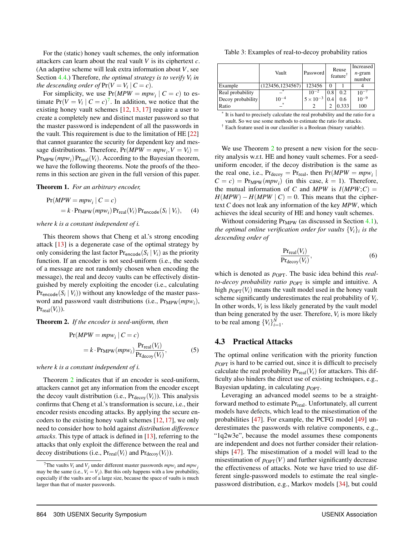For the (static) honey vault schemes, the only information attackers can learn about the real vault *V* is its ciphertext *c*. (An adaptive scheme will leak extra information about *V*, see Section [4.4.](#page-10-0)) Therefore, *the optimal strategy is to verify V<sup>i</sup> in the descending order of*  $Pr(V = V_i | C = c)$ .

For simplicity, we use  $Pr(MPW = mpw_i | C = c)$  to estimate  $Pr(V = V_i | C = c)^7$  $Pr(V = V_i | C = c)^7$ . In addition, we notice that the existing honey vault schemes [\[12,](#page-14-4) [13,](#page-14-6) [17\]](#page-14-5) require a user to create a completely new and distinct master password so that the master password is independent of all the passwords in the vault. This requirement is due to the limitation of HE [\[22\]](#page-15-10) that cannot guarantee the security for dependent key and message distributions. Therefore,  $Pr(MPW = mpw_i, V = V_i) =$  $Pr_{MPW}(mpw_i)$   $Pr_{real}(V_i)$ . According to the Bayesian theorem, we have the following theorems. Note the proofs of the theorems in this section are given in the full version of this paper.

Theorem 1. *For an arbitrary encoder,*

$$
Pr(MPW = mpw_i | C = c)
$$
  
= k · Pr<sub>MPW</sub>( $mpw_i$ ) Pr<sub>real</sub>( $V_i$ ) Pr<sub>encode</sub>( $S_i | V_i$ ), (4)

*where k is a constant independent of i.*

This theorem shows that Cheng et al.'s strong encoding attack [\[13\]](#page-14-6) is a degenerate case of the optimal strategy by only considering the last factor  $Pr_{\text{encode}}(S_i | V_i)$  as the priority function. If an encoder is not seed-uniform (i.e., the seeds of a message are not randomly chosen when encoding the message), the real and decoy vaults can be effectively distinguished by merely exploiting the encoder (i.e., calculating  $Pr_{\text{encode}}(S_i | V_i)$  without any knowledge of the master password and password vault distributions (i.e.,  $Pr_{MPW}(mpw_i)$ ,  $Pr_{real}(V_i)$ ).

<span id="page-8-1"></span>Theorem 2. *If the encoder is seed-uniform, then*

$$
Pr(MPW = mpw_i | C = c)
$$
  
= k · Pr<sub>MPW</sub>( $mpw_i$ )  $\frac{Pr_{real}(V_i)}{Pr_{decay}(V_i)}$ , (5)

*where k is a constant independent of i.*

Theorem [2](#page-8-1) indicates that if an encoder is seed-uniform, attackers cannot get any information from the encoder except the decoy vault distribution (i.e.,  $Pr_{\text{decoy}}(V_i)$ ). This analysis confirms that Cheng et al.'s transformation is secure, i.e., their encoder resists encoding attacks. By applying the secure encoders to the existing honey vault schemes [\[12,](#page-14-4) [17\]](#page-14-5), we only need to consider how to hold against *distribution difference attacks*. This type of attack is defined in [\[13\]](#page-14-6), referring to the attacks that only exploit the difference between the real and decoy distributions (i.e.,  $Pr_{real}(V_i)$  and  $Pr_{decay}(V_i)$ ).

Table 3: Examples of real-to-decoy probability ratios

|                   | Vault            | Password           | Reuse<br>feature <sup>†</sup> |       | Increased<br>$n$ -gram<br>number |
|-------------------|------------------|--------------------|-------------------------------|-------|----------------------------------|
| Example           | (123456,1234567) | 123456             | 0                             |       |                                  |
| Real probability  |                  | $10^{-2}$          | 0.8                           | 0.2   | $10^{-7}$                        |
| Decoy probability | $10^{-4}$        | $5 \times 10^{-3}$ | 0.4                           | 0.6   | $10^{-9}$                        |
| Ratio             | $\ast$           |                    |                               | 0.333 | 100                              |

\* It is hard to precisely calculate the real probability and the ratio for a vault. So we use some methods to estimate the ratio for attacks.

† Each feature used in our classifier is a Boolean (binary variable).

We use Theorem [2](#page-8-1) to present a new vision for the security analysis w.r.t. HE and honey vault schemes. For a seeduniform encoder, if the decoy distribution is the same as the real one, i.e.,  $Pr_{\text{decay}} = Pr_{\text{real}}$ , then  $Pr(MPW = mpw_i |$  $C = c$ ) = Pr<sub>MPW</sub>( $mpw_i$ ) (in this case,  $k = 1$ ). Therefore, the mutual information of *C* and *MPW* is  $I(MPW;C)$  =  $H(MPW) - H(MPW \mid C) = 0$ . This means that the ciphertext *C* does not leak any information of the key *MPW*, which achieves the ideal security of HE and honey vault schemes.

Without considering  $Pr_{MPW}$  (as discussed in Section [4.1\)](#page-7-2), *the optimal online verification order for vaults* {*Vi*}*<sup>i</sup> is the descending order of*

$$
\frac{\Pr_{\text{real}}(V_i)}{\Pr_{\text{decoy}}(V_i)},\tag{6}
$$

which is denoted as  $p_{\text{OPT}}$ . The basic idea behind this *realto-decoy probability ratio*  $p_{\text{OPT}}$  is simple and intuitive. A high  $p_{\text{OPT}}(V_i)$  means the vault model used in the honey vault scheme significantly underestimates the real probability of *V<sup>i</sup>* . In other words,  $V_i$  is less likely generated by the vault model than being generated by the user. Therefore,  $V_i$  is more likely to be real among  $\{V_i\}_{i=1}^N$ .

### <span id="page-8-2"></span>4.3 Practical Attacks

The optimal online verification with the priority function  $p_{\text{OPT}}$  is hard to be carried out, since it is difficult to precisely calculate the real probability  $Pr_{real}(V_i)$  for attackers. This difficulty also hinders the direct use of existing techniques, e.g., Bayesian updating, in calculating  $p_{\text{OPT}}$ .

Leveraging an advanced model seems to be a straightforward method to estimate Pr<sub>real</sub>. Unfortunately, all current models have defects, which lead to the misestimation of the probabilities [\[47\]](#page-15-26). For example, the PCFG model [\[49\]](#page-15-8) underestimates the passwords with relative components, e.g., "1q2w3e", because the model assumes these components are independent and does not further consider their relationships [\[47\]](#page-15-26). The misestimation of a model will lead to the misestimation of  $p_{\text{OPT}}(V)$  and further significantly decrease the effectiveness of attacks. Note we have tried to use different single-password models to estimate the real singlepassword distribution, e.g., Markov models [\[34\]](#page-15-6), but could

<span id="page-8-0"></span><sup>&</sup>lt;sup>7</sup>The vaults  $V_i$  and  $V_j$  under different master passwords  $mpw_i$  and  $mpw_j$ may be the same (i.e.,  $V_i = V_j$ ). But this only happens with a low probability, especially if the vaults are of a large size, because the space of vaults is much larger than that of master passwords.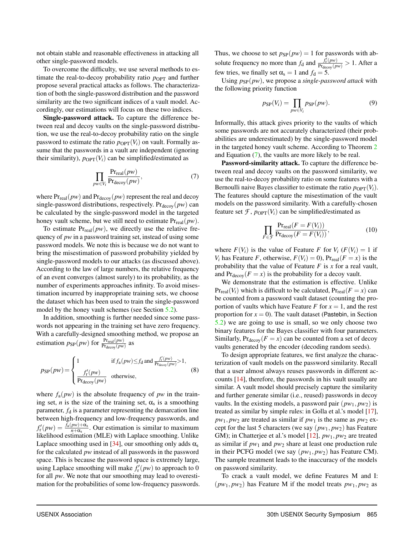not obtain stable and reasonable effectiveness in attacking all other single-password models.

To overcome the difficulty, we use several methods to estimate the real-to-decoy probability ratio  $p_{\text{OPT}}$  and further propose several practical attacks as follows. The characterization of both the single-password distribution and the password similarity are the two significant indices of a vault model. Accordingly, our estimations will focus on these two indices.

Single-password attack. To capture the difference between real and decoy vaults on the single-password distribution, we use the real-to-decoy probability ratio on the single password to estimate the ratio  $p_{\text{OPT}}(V_i)$  on vault. Formally assume that the passwords in a vault are independent (ignoring their similarity),  $p_{\text{OPT}}(V_i)$  can be simplified/estimated as

$$
\prod_{p \le V_i} \frac{\Pr_{\text{real}}(pw)}{\Pr_{\text{decoy}}(pw)},\tag{7}
$$

where  $Pr_{real}(pw)$  and  $Pr_{decay}(pw)$  represent the real and decoy single-password distributions, respectively.  $Pr_{\text{decov}}(pw)$  can be calculated by the single-password model in the targeted honey vault scheme, but we still need to estimate  $Pr_{real}(pw)$ .

To estimate  $Pr_{real}(pw)$ , we directly use the relative frequency of *pw* in a password training set, instead of using some password models. We note this is because we do not want to bring the misestimation of password probability yielded by single-password models to our attacks (as discussed above). According to the law of large numbers, the relative frequency of an event converges (almost surely) to its probability, as the number of experiments approaches infinity. To avoid misestimation incurred by inappropriate training sets, we choose the dataset which has been used to train the single-password model by the honey vault schemes (see Section [5.2\)](#page-11-0).

In addition, smoothing is further needed since some passwords not appearing in the training set have zero frequency. With a carefully-designed smoothing method, we propose an estimation  $p_{SP}(pw)$  for  $\frac{Pr_{real}(pw)}{Pr_{decoy}(pw)}$  as

$$
p_{\rm SP}(pw) = \begin{cases} 1 & \text{if } f_{\rm a}(pw) \le f_{\rm d} \text{ and } \frac{f_{\rm r}'(pw)}{\Pr_{\rm decoy}(pw)} > 1, \\ \frac{f_{\rm r}'(pw)}{\Pr_{\rm decoy}(pw)} & \text{otherwise,} \end{cases} \tag{8}
$$

where  $f_a(pw)$  is the absolute frequency of *pw* in the training set, *n* is the size of the training set,  $\alpha_s$  is a smoothing parameter,  $f_d$  is a parameter representing the demarcation line between high-frequency and low-frequency passwords, and  $f'_{r}(pw) = \frac{f_a(pw) + \alpha_s}{n + \alpha_s}$ . Our estimation is similar to maximum likelihood estimation (MLE) with Laplace smoothing. Unlike Laplace smoothing used in [\[34\]](#page-15-6), our smoothing only adds  $\alpha_s$ for the calculated *pw* instead of all passwords in the password space. This is because the password space is extremely large, using Laplace smoothing will make  $f'_{r}(pw)$  to approach to 0 for all *pw*. We note that our smoothing may lead to overestimation for the probabilities of some low-frequency passwords. Thus, we choose to set  $p_{SP}(pw) = 1$  for passwords with absolute frequency no more than  $f_d$  and  $\frac{\hat{f}_r^f(pw)}{Pr_{decoy}(pw)} > 1$ . After a few tries, we finally set  $\alpha_s = 1$  and  $f_d = 5$ .

Using  $p_{SP}(pw)$ , we propose a *single-password attack* with the following priority function

$$
p_{\rm SP}(V_i) = \prod_{p \le V_i} p_{\rm SP}(p \le).
$$
 (9)

Informally, this attack gives priority to the vaults of which some passwords are not accurately characterized (their probabilities are underestimated) by the single-password model in the targeted honey vault scheme. According to Theorem [2](#page-8-1) and Equation  $(7)$ , the vaults are more likely to be real.

<span id="page-9-0"></span>Password-similarity attack. To capture the difference between real and decoy vaults on the password similarity, we use the real-to-decoy probability ratio on some features with a Bernoulli naive Bayes classifier to estimate the ratio  $p_{\text{OPT}}(V_i)$ . The features should capture the misestimation of the vault models on the password similarity. With a carefully-chosen feature set  $\mathcal{F}$ ,  $p_{\text{OPT}}(V_i)$  can be simplified/estimated as

<span id="page-9-1"></span>
$$
\prod_{F \in \mathcal{F}} \frac{\Pr_{\text{real}}(F = F(V_i))}{\Pr_{\text{decoy}}(F = F(V_i))},\tag{10}
$$

where  $F(V_i)$  is the value of Feature *F* for  $V_i$  ( $F(V_i) = 1$  if *V*<sub>i</sub> has Feature *F*, otherwise,  $F(V_i) = 0$ ,  $Pr_{real}(F = x)$  is the probability that the value of Feature *F* is *x* for a real vault, and  $Pr_{\text{decov}}(F = x)$  is the probability for a decoy vault.

We demonstrate that the estimation is effective. Unlike  $Pr_{real}(V_i)$  which is difficult to be calculated,  $Pr_{real}(F = x)$  can be counted from a password vault dataset (counting the proportion of vaults which have Feature *F* for  $x = 1$ , and the rest proportion for  $x = 0$ ). The vault dataset (Pastebin, in Section [5.2\)](#page-11-0) we are going to use is small, so we only choose two binary features for the Bayes classifier with four parameters. Similarly,  $Pr_{\text{decoy}}(F = x)$  can be counted from a set of decoy vaults generated by the encoder (decoding random seeds).

To design appropriate features, we first analyze the characterization of vault models on the password similarity. Recall that a user almost always reuses passwords in different accounts [\[14\]](#page-14-16), therefore, the passwords in his vault usually are similar. A vault model should precisely capture the similarity and further generate similar (i.e., reused) passwords in decoy vaults. In the existing models, a password pair  $(pw_1, pw_2)$  is treated as similar by simple rules: in Golla et al.'s model [\[17\]](#page-14-5),  $pw_1, pw_2$  are treated as similar if  $pw_1$  is the same as  $pw_2$  except for the last 5 characters (we say  $(pw_1, pw_2)$  has Feature GM); in Chatterjee et al.'s model [\[12\]](#page-14-4),  $pw_1, pw_2$  are treated as similar if  $pw_1$  and  $pw_2$  share at least one production rule in their PCFG model (we say (*pw*1, *pw*2) has Feature CM). The sample treatment leads to the inaccuracy of the models on password similarity.

To crack a vault model, we define Features M and I:  $(pw_1, pw_2)$  has Feature M if the model treats  $pw_1, pw_2$  as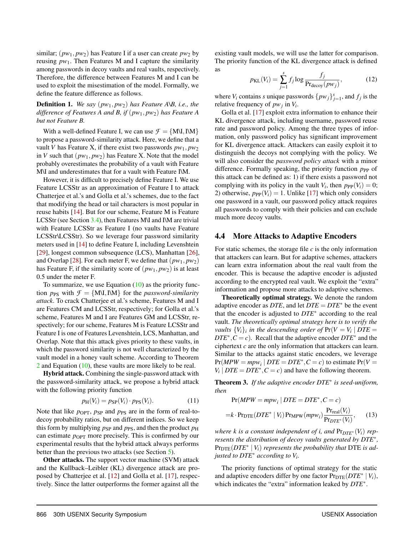similar;  $(pw_1, pw_2)$  has Feature I if a user can create  $pw_2$  by reusing  $pw_1$ . Then Features M and I capture the similarity among passwords in decoy vaults and real vaults, respectively. Therefore, the difference between Features M and I can be used to exploit the misestimation of the model. Formally, we define the feature difference as follows.

Definition 1. *We say* (*pw*1, *pw*2) *has Feature A\B, i.e., the difference of Features A and B, if* (*pw*1, *pw*2) *has Feature A but not Feature B.*

With a well-defined Feature I, we can use  $\mathcal{F} = \{M\setminus I, I\setminus M\}$ to propose a password-similarity attack. Here, we define that a vault *V* has Feature X, if there exist two passwords  $pw_1, pw_2$ in *V* such that  $(pw_1, pw_2)$  has Feature *X*. Note that the model probably overestimates the probability of a vault with Feature M\I and underestimates that for a vault with Feature I\M.

However, it is difficult to precisely define Feature I. We use Feature LCSStr as an approximation of Feature I to attack Chatterjee et al.'s and Golla et al.'s schemes, due to the fact that modifying the head or tail characters is most popular in reuse habits [\[14\]](#page-14-16). But for our scheme, Feature M is Feature LCSStr (see Section [3.4\)](#page-5-5), then Features M\I and I\M are trivial with Feature LCSStr as Feature I (no vaults have Feature LCSStr\LCSStr). So we leverage four password similarity meters used in [\[14\]](#page-14-16) to define Feature I, including Levenshtein [\[29\]](#page-15-27), longest common subsequence (LCS), Manhattan [\[26\]](#page-15-28), and Overlap [\[28\]](#page-15-29). For each meter F, we define that  $(pw_1, pw_2)$ has Feature F, if the similarity score of  $(pw_1, pw_2)$  is at least 0.5 under the meter F.

To summarize, we use Equation  $(10)$  as the priority function  $p_{PS}$  with  $\mathcal{F} = \{M\setminus I, I\setminus M\}$  for the *password-similarity attack*. To crack Chatterjee et al.'s scheme, Features M and I are Features CM and LCSStr, respectively; for Golla et al.'s scheme, Features M and I are Features GM and LCSStr, respectively; for our scheme, Features M is Feature LCSStr and Feature I is one of Features Levenshtein, LCS, Manhattan, and Overlap. Note that this attack gives priority to these vaults, in which the password similarity is not well characterized by the vault model in a honey vault scheme. According to Theorem [2](#page-8-1) and Equation [\(10\)](#page-9-1), these vaults are more likely to be real.

Hybrid attack. Combining the single-password attack with the password-similarity attack, we propose a hybrid attack with the following priority function

$$
p_H(V_i) = p_{\rm SP}(V_i) \cdot p_{\rm PS}(V_i). \tag{11}
$$

Note that like *p*<sub>OPT</sub>, *p*<sub>SP</sub> and *p*<sub>PS</sub> are in the form of real-todecoy probability ratios, but on different indices. So we keep this form by multiplying  $p_{SP}$  and  $p_{PS}$ , and then the product  $p_H$ can estimate  $p_{\text{OPT}}$  more precisely. This is confirmed by our experimental results that the hybrid attack always performs better than the previous two attacks (see Section [5\)](#page-11-1).

Other attacks. The support vector machine (SVM) attack and the Kullback–Leibler (KL) divergence attack are proposed by Chatterjee et al. [\[12\]](#page-14-4) and Golla et al. [\[17\]](#page-14-5), respectively. Since the latter outperforms the former against all the

existing vault models, we will use the latter for comparison. The priority function of the KL divergence attack is defined as

$$
p_{\text{KL}}(V_i) = \sum_{j=1}^{s} f_j \log \frac{f_j}{\Pr_{\text{decoy}}(pw_j)},\tag{12}
$$

where  $V_i$  contains *s* unique passwords  $\{p w_j\}_{j=1}^s$ , and  $f_j$  is the relative frequency of *pw<sup>j</sup>* in *V<sup>i</sup>* .

Golla et al. [\[17\]](#page-14-5) exploit extra information to enhance their KL divergence attack, including username, password reuse rate and password policy. Among the three types of information, only password policy has significant improvement for KL divergence attack. Attackers can easily exploit it to distinguish the decoys not complying with the policy. We will also consider the *password policy attack* with a minor difference. Formally speaking, the priority function  $p_{PP}$  of this attack can be defined as: 1) if there exists a password not complying with its policy in the vault  $V_i$ , then  $p_{PP}(V_i) = 0$ ; 2) otherwise,  $p_{PP}(V_i) = 1$ . Unlike [\[17\]](#page-14-5) which only considers one password in a vault, our password policy attack requires all passwords to comply with their policies and can exclude much more decoy vaults.

#### <span id="page-10-0"></span>4.4 More Attacks to Adaptive Encoders

For static schemes, the storage file *c* is the only information that attackers can learn. But for adaptive schemes, attackers can learn extra information about the real vault from the encoder. This is because the adaptive encoder is adjusted according to the encrypted real vault. We exploit the "extra" information and propose more attacks to adaptive schemes.

Theoretically optimal strategy. We denote the random adaptive encoder as *DTE*, and let *DTE* = *DTE*<sup>∗</sup> be the event that the encoder is adjusted to *DTE*<sup>∗</sup> according to the real vault. *The theoretically optimal strategy here is to verify the vaults*  $\{V_i\}_i$  *in the descending order of*  $Pr(V = V_i | DTE =$  $DTE^*$ ,  $\overline{C} = c$ ). Recall that the adaptive encoder  $DTE^*$  and the ciphertext *c* are the only information that attackers can learn. Similar to the attacks against static encoders, we leverage  $Pr(MPW = mpw_i | DTE = DTE^*, C = c)$  to estimate  $Pr(V =$  $V_i | DTE = DTE^*, C = c$  and have the following theorem.

Theorem 3. *If the adaptive encoder DTE*<sup>∗</sup> *is seed-uniform, then*

$$
Pr(MPW = mpw_i | DTE = DTE^*, C = c)
$$
  
=k  $\cdot$  
$$
Pr_{DTE}(DTE^* | V_i) Pr_{MPW}(mpw_i) \frac{Pr_{real}(V_i)}{Pr_{DTE^*}(V_i)},
$$
 (13)

*where k is a constant independent of <i>i, and*  $Pr_{DTE^*}(V_i)$  *represents the distribution of decoy vaults generated by DTE*<sup>∗</sup> *,*  $Pr_{\text{DTE}}(DTE^* | V_i)$  *represents the probability that* DTE *is adjusted to DTE*<sup>∗</sup> *according to V<sup>i</sup> .*

The priority functions of optimal strategy for the static and adaptive encoders differ by one factor  $Pr_{\text{DTE}}(DTE^* | V_i)$ , which indicates the "extra" information leaked by *DTE*<sup>∗</sup> .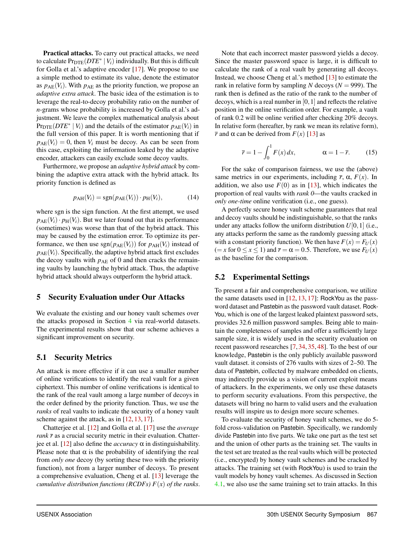Practical attacks. To carry out practical attacks, we need to calculate  $Pr_{\text{DTE}}(DTE^* | V_i)$  individually. But this is difficult for Golla et al.'s adaptive encoder [\[17\]](#page-14-5). We propose to use a simple method to estimate its value, denote the estimator as  $p_{AE}(V_i)$ . With  $p_{AE}$  as the priority function, we propose an *adaptive extra attack*. The basic idea of the estimation is to leverage the real-to-decoy probability ratio on the number of *n*-grams whose probability is increased by Golla et al.'s adjustment. We leave the complex mathematical analysis about  $Pr_{\text{DTE}}(DTE^* | V_i)$  and the details of the estimator  $p_{\text{AE}}(V_i)$  in the full version of this paper. It is worth mentioning that if  $p_{AE}(V_i) = 0$ , then  $V_i$  must be decoy. As can be seen from this case, exploiting the information leaked by the adaptive encoder, attackers can easily exclude some decoy vaults.

Furthermore, we propose an *adaptive hybrid attack* by combining the adaptive extra attack with the hybrid attack. Its priority function is defined as

$$
p_{\text{AH}}(V_i) = \text{sgn}(p_{\text{AE}}(V_i)) \cdot p_{\text{H}}(V_i), \tag{14}
$$

where sgn is the sign function. At the first attempt, we used  $p_{AE}(V_i) \cdot p_H(V_i)$ . But we later found out that its performance (sometimes) was worse than that of the hybrid attack. This may be caused by the estimation error. To optimize its performance, we then use  $sgn(p_{AE}(V_i))$  for  $p_{AH}(V_i)$  instead of  $p_{AE}(V_i)$ . Specifically, the adaptive hybrid attack first excludes the decoy vaults with  $p_{AE}$  of 0 and then cracks the remaining vaults by launching the hybrid attack. Thus, the adaptive hybrid attack should always outperform the hybrid attack.

# <span id="page-11-1"></span>5 Security Evaluation under Our Attacks

We evaluate the existing and our honey vault schemes over the attacks proposed in Section [4](#page-7-0) via real-world datasets. The experimental results show that our scheme achieves a significant improvement on security.

# 5.1 Security Metrics

An attack is more effective if it can use a smaller number of online verifications to identify the real vault for a given ciphertext. This number of online verifications is identical to the rank of the real vault among a large number of decoys in the order defined by the priority function. Thus, we use the *ranks* of real vaults to indicate the security of a honey vault scheme against the attack, as in [\[12,](#page-14-4) [13,](#page-14-6) [17\]](#page-14-5).

Chatterjee et al. [\[12\]](#page-14-4) and Golla et al. [\[17\]](#page-14-5) use the *average rank*  $\bar{r}$  as a crucial security metric in their evaluation. Chatterjee et al. [\[12\]](#page-14-4) also define the *accuracy* α in distinguishability. Please note that  $\alpha$  is the probability of identifying the real from *only one* decoy (by sorting these two with the priority function), not from a larger number of decoys. To present a comprehensive evaluation, Cheng et al. [\[13\]](#page-14-6) leverage the *cumulative distribution functions (RCDFs) F*(*x*) *of the ranks*.

Note that each incorrect master password yields a decoy. Since the master password space is large, it is difficult to calculate the rank of a real vault by generating all decoys. Instead, we choose Cheng et al.'s method [\[13\]](#page-14-6) to estimate the rank in relative form by sampling *N* decoys ( $N = 999$ ). The rank then is defined as the ratio of the rank to the number of decoys, which is a real number in [0,1] and reflects the relative position in the online verification order. For example, a vault of rank 0.2 will be online verified after checking 20% decoys. In relative form (hereafter, by rank we mean its relative form),  $\bar{r}$  and  $\alpha$  can be derived from  $F(x)$  [\[13\]](#page-14-6) as

$$
\bar{r} = 1 - \int_0^1 F(x) dx, \qquad \alpha = 1 - \bar{r}.
$$
 (15)

For the sake of comparison fairness, we use the (above) same metrics in our experiments, including  $\bar{r}$ ,  $\alpha$ ,  $F(x)$ . In addition, we also use  $F(0)$  as in [\[13\]](#page-14-6), which indicates the proportion of real vaults with *rank 0*—the vaults cracked in *only one-time* online verification (i.e., one guess).

A perfectly secure honey vault scheme guarantees that real and decoy vaults should be indistinguishable, so that the ranks under any attacks follow the uniform distribution  $U[0,1]$  (i.e., any attacks perform the same as the randomly guessing attack with a constant priority function). We then have  $F(x) = F_U(x)$  $(= x \text{ for } 0 \le x \le 1)$  and  $\bar{r} = \alpha = 0.5$ . Therefore, we use  $F_U(x)$ as the baseline for the comparison.

# <span id="page-11-0"></span>5.2 Experimental Settings

To present a fair and comprehensive comparison, we utilize the same datasets used in  $[12, 13, 17]$  $[12, 13, 17]$  $[12, 13, 17]$  $[12, 13, 17]$  $[12, 13, 17]$ : RockYou as the password dataset and Pastebin as the password vault dataset. Rock-You, which is one of the largest leaked plaintext password sets, provides 32.6 million password samples. Being able to maintain the completeness of samples and offer a sufficiently large sample size, it is widely used in the security evaluation on recent password researches [\[7,](#page-14-19) [34,](#page-15-6) [35,](#page-15-22) [48\]](#page-15-7). To the best of our knowledge, Pastebin is the only publicly available password vault dataset. it consists of 276 vaults with sizes of 2–50. The data of Pastebin, collected by malware embedded on clients, may indirectly provide us a vision of current exploit means of attackers. In the experiments, we only use these datasets to perform security evaluations. From this perspective, the datasets will bring no harm to valid users and the evaluation results will inspire us to design more secure schemes.

To evaluate the security of honey vault schemes, we do 5 fold cross-validation on Pastebin. Specifically, we randomly divide Pastebin into five parts. We take one part as the test set and the union of other parts as the training set. The vaults in the test set are treated as the real vaults which will be protected (i.e., encrypted) by honey vault schemes and be cracked by attacks. The training set (with RockYou) is used to train the vault models by honey vault schemes. As discussed in Section [4.1,](#page-7-2) we also use the same training set to train attacks. In this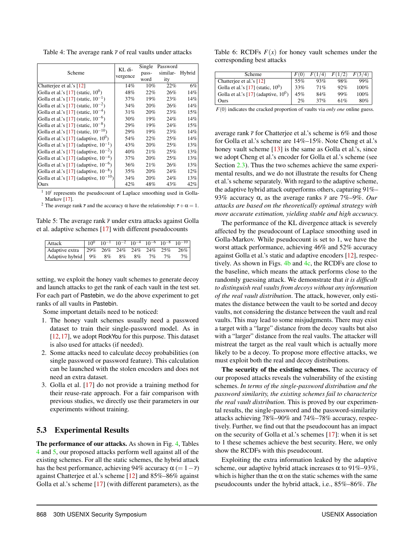<span id="page-12-0"></span>Table 4: The average rank  $\bar{r}$  of real vaults under attacks

|                                             | KL di-   | Single | Password |        |
|---------------------------------------------|----------|--------|----------|--------|
| Scheme                                      | vergence | pass-  | similar- | Hybrid |
|                                             |          | word   | ity      |        |
| Chatterjee et al.'s [12]                    | 14%      | 10%    | 22%      | 6%     |
| Golla et al.'s [17] (static, $10^0$ )       | 48%      | 22%    | 26%      | 14%    |
| Golla et al.'s [17] (static, $10^{-1}$ )    | 37%      | 19%    | 23%      | 14%    |
| Golla et al.'s [17] (static, $10^{-2}$ )    | 34%      | 20%    | 26%      | 14%    |
| Golla et al.'s [17] (static, $10^{-4}$ )    | 31%      | 20%    | 23%      | 15%    |
| Golla et al.'s [17] (static, $10^{-6}$ )    | 30%      | 19%    | 24%      | 14%    |
| Golla et al.'s [17] (static, $10^{-8}$ )    | 29%      | 19%    | 24%      | 15%    |
| Golla et al.'s [17] (static, $10^{-10}$ )   | 29%      | 19%    | 23%      | 14%    |
| Golla et al.'s $[17]$ (adaptive, $10^0$ )   | 54%      | 22%    | 25%      | 14%    |
| Golla et al.'s [17] (adaptive, $10^{-1}$ )  | 43%      | 20%    | 25%      | 13%    |
| Golla et al.'s [17] (adaptive, $10^{-2}$ )  | 40%      | 21%    | 25%      | 13%    |
| Golla et al.'s [17] (adaptive, $10^{-4}$ )  | 37%      | 20%    | 25%      | 13%    |
| Golla et al.'s [17] (adaptive, $10^{-6}$ )  | 36%      | 21%    | 26%      | 13%    |
| Golla et al.'s [17] (adaptive, $10^{-8}$ )  | 35%      | 20%    | 24%      | 12%    |
| Golla et al.'s [17] (adaptive, $10^{-10}$ ) | 34%      | 20%    | 24%      | 13%    |
| Ours                                        | 42%      | 48%    | 43%      | 42%    |

 $1\ 10^i$  represents the pseudocount of Laplace smoothing used in Golla-Markov<sup>[\[17\]](#page-14-5)</sup>.

<sup>2</sup> The average rank  $\bar{r}$  and the accuracy  $\alpha$  have the relationship:  $\bar{r} + \alpha = 1$ .

<span id="page-12-1"></span>Table 5: The average rank  $\bar{r}$  under extra attacks against Golla et al. adaptive schemes [\[17\]](#page-14-5) with different pseudocounts

| Attack                                       |  |  |  | $\frac{1}{10^{0}}$ $10^{-1}$ $10^{-2}$ $10^{-4}$ $10^{-6}$ $10^{-8}$ $10^{-10}$ |
|----------------------------------------------|--|--|--|---------------------------------------------------------------------------------|
| Adaptive extra   29% 26% 24% 24% 24% 25% 26% |  |  |  |                                                                                 |
| Adaptive hybrid   9% 8% 8% 8% 7% 7%          |  |  |  | 7%                                                                              |

setting, we exploit the honey vault schemes to generate decoy and launch attacks to get the rank of each vault in the test set. For each part of Pastebin, we do the above experiment to get ranks of all vaults in Pastebin.

Some important details need to be noticed:

- 1. The honey vault schemes usually need a password dataset to train their single-password model. As in [\[12,](#page-14-4)[17\]](#page-14-5), we adopt RockYou for this purpose. This dataset is also used for attacks (if needed).
- 2. Some attacks need to calculate decoy probabilities (on single password or password feature). This calculation can be launched with the stolen encoders and does not need an extra dataset.
- 3. Golla et al. [\[17\]](#page-14-5) do not provide a training method for their reuse-rate approach. For a fair comparison with previous studies, we directly use their parameters in our experiments without training.

## 5.3 Experimental Results

The performance of our attacks. As shown in Fig. [4,](#page-13-0) Tables [4](#page-12-0) and [5,](#page-12-1) our proposed attacks perform well against all of the existing schemes. For all the static schemes, the hybrid attack has the best performance, achieving 94% accuracy  $\alpha$  (= 1−*r*) against Chatterjee et al.'s scheme [\[12\]](#page-14-4) and 85%–86% against Golla et al.'s scheme [\[17\]](#page-14-5) (with different parameters), as the

<span id="page-12-2"></span>Table 6: RCDFs  $F(x)$  for honey vault schemes under the corresponding best attacks

| Scheme                                  |     | 74  | F(1/2) |         |
|-----------------------------------------|-----|-----|--------|---------|
| Chatterjee et al.'s [12]                | 55% | 93% | 98%    | 99%     |
| Golla et al.'s [17] (static, $10^0$ )   | 33% | 71% | 92%    | $100\%$ |
| Golla et al.'s [17] (adaptive, $10^0$ ) | 45% | 84% | 99%    | $100\%$ |
| Ours                                    | 2%  | 37% | 61%    | 80%     |

*F*(0) indicates the cracked proportion of vaults via *only one* online guess.

average rank  $\bar{r}$  for Chatterjee et al.'s scheme is 6% and those for Golla et al.'s scheme are 14%–15%. Note Cheng et al.'s honey vault scheme [\[13\]](#page-14-6) is the same as Golla et al.'s, since we adopt Cheng et al.'s encoder for Golla et al.'s scheme (see Section [2.3\)](#page-3-0). Thus the two schemes achieve the same experimental results, and we do not illustrate the results for Cheng et al.'s scheme separately. With regard to the adaptive scheme, the adaptive hybrid attack outperforms others, capturing 91%– 93% accuracy α, as the average ranks *r* are 7%–9%. *Our attacks are based on the theoretically optimal strategy with more accurate estimation, yielding stable and high accuracy.*

The performance of the KL divergence attack is severely affected by the pseudocount of Laplace smoothing used in Golla-Markov. While pseudocount is set to 1, we have the worst attack performance, achieving 46% and 52% accuracy against Golla et al.'s static and adaptive encoders [\[12\]](#page-14-4), respectively. As shown in Figs. [4b](#page-13-0) and [4c,](#page-13-0) the RCDFs are close to the baseline, which means the attack performs close to the randomly guessing attack. We demonstrate that *it is difficult to distinguish real vaults from decoys without any information of the real vault distribution*. The attack, however, only estimates the distance between the vault to be sorted and decoy vaults, not considering the distance between the vault and real vaults. This may lead to some misjudgments. There may exist a target with a "large" distance from the decoy vaults but also with a "larger" distance from the real vaults. The attacker will mistreat the target as the real vault which is actually more likely to be a decoy. To propose more effective attacks, we must exploit both the real and decoy distributions.

The security of the existing schemes. The accuracy of our proposed attacks reveals the vulnerability of the existing schemes. *In terms of the single-password distribution and the password similarity, the existing schemes fail to characterize the real vault distribution.* This is proved by our experimental results, the single-password and the password-similarity attacks achieving 78%–90% and 74%–78% accuracy, respectively. Further, we find out that the pseudocount has an impact on the security of Golla et al.'s schemes [\[17\]](#page-14-5): when it is set to 1 these schemes achieve the best security. Here, we only show the RCDFs with this pseudocount.

Exploiting the extra information leaked by the adaptive scheme, our adaptive hybrid attack increases  $\alpha$  to 91%–93%, which is higher than the  $\alpha$  on the static schemes with the same pseudocounts under the hybrid attack, i.e., 85%–86%. *The*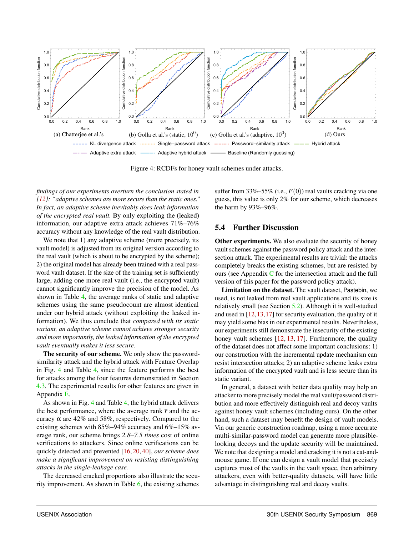<span id="page-13-0"></span>

Figure 4: RCDFs for honey vault schemes under attacks.

*findings of our experiments overturn the conclusion stated in [\[12\]](#page-14-4): "adaptive schemes are more secure than the static ones." In fact, an adaptive scheme inevitably does leak information of the encrypted real vault.* By only exploiting the (leaked) information, our adaptive extra attack achieves 71%–76% accuracy without any knowledge of the real vault distribution.

We note that 1) any adaptive scheme (more precisely, its vault model) is adjusted from its original version according to the real vault (which is about to be encrypted by the scheme); 2) the original model has already been trained with a real password vault dataset. If the size of the training set is sufficiently large, adding one more real vault (i.e., the encrypted vault) cannot significantly improve the precision of the model. As shown in Table [4,](#page-12-0) the average ranks of static and adaptive schemes using the same pseudocount are almost identical under our hybrid attack (without exploiting the leaked information). We thus conclude that *compared with its static variant, an adaptive scheme cannot achieve stronger security and more importantly, the leaked information of the encrypted vault eventually makes it less secure.*

The security of our scheme. We only show the passwordsimilarity attack and the hybrid attack with Feature Overlap in Fig. [4](#page-13-0) and Table [4,](#page-12-0) since the feature performs the best for attacks among the four features demonstrated in Section [4.3.](#page-8-2) The experimental results for other features are given in Appendix [E.](#page-18-0)

As shown in Fig. [4](#page-13-0) and Table [4,](#page-12-0) the hybrid attack delivers the best performance, where the average rank  $\bar{r}$  and the accuracy  $\alpha$  are 42% and 58%, respectively. Compared to the existing schemes with 85%–94% accuracy and 6%–15% average rank, our scheme brings *2.8–7.5 times* cost of online verifications to attackers. Since online verifications can be quickly detected and prevented [\[16,](#page-14-2) [20,](#page-14-3) [40\]](#page-15-9), *our scheme does make a significant improvement on resisting distinguishing attacks in the single-leakage case.*

The decreased cracked proportions also illustrate the security improvement. As shown in Table [6,](#page-12-2) the existing schemes

suffer from 33%–55% (i.e.,  $F(0)$ ) real vaults cracking via one guess, this value is only 2% for our scheme, which decreases the harm by 93%–96%.

## 5.4 Further Discussion

Other experiments. We also evaluate the security of honey vault schemes against the password policy attack and the intersection attack. The experimental results are trivial: the attacks completely breaks the existing schemes, but are resisted by ours (see Appendix  $C$  for the intersection attack and the full version of this paper for the password policy attack).

Limitation on the dataset. The vault dataset, Pastebin, we used, is not leaked from real vault applications and its size is relatively small (see Section [5.2\)](#page-11-0). Although it is well-studied and used in  $[12,13,17]$  $[12,13,17]$  $[12,13,17]$  for security evaluation, the quality of it may yield some bias in our experimental results. Nevertheless, our experiments still demonstrate the insecurity of the existing honey vault schemes [\[12,](#page-14-4) [13,](#page-14-6) [17\]](#page-14-5). Furthermore, the quality of the dataset does not affect some important conclusions: 1) our construction with the incremental update mechanism can resist intersection attacks; 2) an adaptive scheme leaks extra information of the encrypted vault and is less secure than its static variant.

In general, a dataset with better data quality may help an attacker to more precisely model the real vault/password distribution and more effectively distinguish real and decoy vaults against honey vault schemes (including ours). On the other hand, such a dataset may benefit the design of vault models. Via our generic construction roadmap, using a more accurate multi-similar-password model can generate more plausiblelooking decoys and the update security will be maintained. We note that designing a model and cracking it is not a cat-andmouse game. If one can design a vault model that precisely captures most of the vaults in the vault space, then arbitrary attackers, even with better-quality datasets, will have little advantage in distinguishing real and decoy vaults.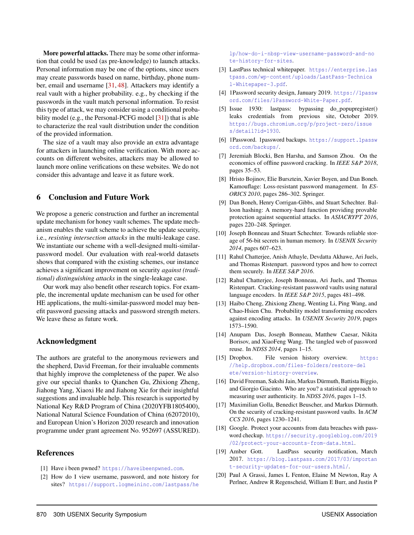More powerful attacks. There may be some other information that could be used (as pre-knowledge) to launch attacks. Personal information may be one of the options, since users may create passwords based on name, birthday, phone number, email and username [\[31,](#page-15-30) [48\]](#page-15-7). Attackers may identify a real vault with a higher probability. e.g., by checking if the passwords in the vault match personal information. To resist this type of attack, we may consider using a conditional proba-bility model (e.g., the Personal-PCFG model [\[31\]](#page-15-30)) that is able to characterize the real vault distribution under the condition of the provided information.

The size of a vault may also provide an extra advantage for attackers in launching online verification. With more accounts on different websites, attackers may be allowed to launch more online verifications on these websites. We do not consider this advantage and leave it as future work.

## 6 Conclusion and Future Work

We propose a generic construction and further an incremental update mechanism for honey vault schemes. The update mechanism enables the vault scheme to achieve the update security, i.e., *resisting intersection attacks* in the multi-leakage case. We instantiate our scheme with a well-designed multi-similarpassword model. Our evaluation with real-world datasets shows that compared with the existing schemes, our instance achieves a significant improvement on security *against (traditional) distinguishing attacks* in the single-leakage case.

Our work may also benefit other research topics. For example, the incremental update mechanism can be used for other HE applications, the multi-similar-password model may benefit password guessing attacks and password strength meters. We leave these as future work.

# Acknowledgment

The authors are grateful to the anonymous reviewers and the shepherd, David Freeman, for their invaluable comments that highly improve the completeness of the paper. We also give our special thanks to Qianchen Gu, Zhixiong Zheng, Jiahong Yang, Xiaoxi He and Jiahong Xie for their insightful suggestions and invaluable help. This research is supported by National Key R&D Program of China (2020YFB1805400), National Natural Science Foundation of China (62072010), and European Union's Horizon 2020 research and innovation programme under grant agreement No. 952697 (ASSURED).

## References

- <span id="page-14-17"></span>[1] Have i been pwned? <https://haveibeenpwned.com>.
- <span id="page-14-15"></span>[2] How do I view username, password, and note history for sites? [https://support.logmeininc.com/lastpass/he](https://support.logmeininc.com/lastpass/help/how-do-i-nbsp-view-username-password-and-note-history-for-sites)

[lp/how-do-i-nbsp-view-username-password-and-no](https://support.logmeininc.com/lastpass/help/how-do-i-nbsp-view-username-password-and-note-history-for-sites) [te-history-for-sites](https://support.logmeininc.com/lastpass/help/how-do-i-nbsp-view-username-password-and-note-history-for-sites).

- <span id="page-14-12"></span>[3] LastPass technical whitepaper. [https://enterprise.las](https://enterprise.lastpass.com/wp-content/uploads/LastPass-Technical-Whitepaper-3.pdf) [tpass.com/wp-content/uploads/LastPass-Technica](https://enterprise.lastpass.com/wp-content/uploads/LastPass-Technical-Whitepaper-3.pdf) [l-Whitepaper-3.pdf](https://enterprise.lastpass.com/wp-content/uploads/LastPass-Technical-Whitepaper-3.pdf).
- <span id="page-14-13"></span>[4] 1Password security design, January 2019. [https://1passw](https://1password.com/files/1Password-White-Paper.pdf) [ord.com/files/1Password-White-Paper.pdf](https://1password.com/files/1Password-White-Paper.pdf).
- <span id="page-14-9"></span>[5] Issue 1930: lastpass: bypassing do\_popupregister() leaks credentials from previous site, October 2019. [https://bugs.chromium.org/p/project-zero/issue](https://bugs.chromium.org/p/project-zero/issues/detail?id=1930) [s/detail?id=1930](https://bugs.chromium.org/p/project-zero/issues/detail?id=1930).
- <span id="page-14-8"></span>[6] 1Password. 1password backups. [https://support.1passw](https://support.1password.com/backups/) [ord.com/backups/](https://support.1password.com/backups/).
- <span id="page-14-19"></span>[7] Jeremiah Blocki, Ben Harsha, and Samson Zhou. On the economics of offline password cracking. In *IEEE S&P 2018*, pages 35–53.
- <span id="page-14-1"></span>[8] Hristo Bojinov, Elie Bursztein, Xavier Boyen, and Dan Boneh. Kamouflage: Loss-resistant password management. In *ES-ORICS 2010*, pages 286–302. Springer.
- <span id="page-14-11"></span>[9] Dan Boneh, Henry Corrigan-Gibbs, and Stuart Schechter. Balloon hashing: A memory-hard function providing provable protection against sequential attacks. In *ASIACRYPT 2016*, pages 220–248. Springer.
- <span id="page-14-0"></span>[10] Joseph Bonneau and Stuart Schechter. Towards reliable storage of 56-bit secrets in human memory. In *USENIX Security 2014*, pages 607–623.
- <span id="page-14-14"></span>[11] Rahul Chatterjee, Anish Athayle, Devdatta Akhawe, Ari Juels, and Thomas Ristenpart. password typos and how to correct them securely. In *IEEE S&P 2016*.
- <span id="page-14-4"></span>[12] Rahul Chatterjee, Joseph Bonneau, Ari Juels, and Thomas Ristenpart. Cracking-resistant password vaults using natural language encoders. In *IEEE S&P 2015*, pages 481–498.
- <span id="page-14-6"></span>[13] Haibo Cheng, Zhixiong Zheng, Wenting Li, Ping Wang, and Chao-Hsien Chu. Probability model transforming encoders against encoding attacks. In *USENIX Security 2019*, pages 1573–1590.
- <span id="page-14-16"></span>[14] Anupam Das, Joseph Bonneau, Matthew Caesar, Nikita Borisov, and XiaoFeng Wang. The tangled web of password reuse. In *NDSS 2014*, pages 1–15.
- <span id="page-14-7"></span>[15] Dropbox. File version history overview. [https:](https://help.dropbox.com/files-folders/restore-delete/version-history-overview) [//help.dropbox.com/files-folders/restore-del](https://help.dropbox.com/files-folders/restore-delete/version-history-overview) [ete/version-history-overview](https://help.dropbox.com/files-folders/restore-delete/version-history-overview).
- <span id="page-14-2"></span>[16] David Freeman, Sakshi Jain, Markus Dürmuth, Battista Biggio, and Giorgio Giacinto. Who are you? a statistical approach to measuring user authenticity. In *NDSS 2016*, pages 1–15.
- <span id="page-14-5"></span>[17] Maximilian Golla, Benedict Beuscher, and Markus Dürmuth. On the security of cracking-resistant password vaults. In *ACM CCS 2016*, pages 1230–1241.
- <span id="page-14-18"></span>[18] Google. Protect your accounts from data breaches with password checkup. [https://security.googleblog.com/2019](https://security.googleblog.com/2019/02/protect-your-accounts-from-data.html) [/02/protect-your-accounts-from-data.html](https://security.googleblog.com/2019/02/protect-your-accounts-from-data.html).
- <span id="page-14-10"></span>[19] Amber Gott. LastPass security notification, March 2017. [https://blog.lastpass.com/2017/03/importan](https://blog.lastpass.com/2017/03/important-security-updates-for-our-users.html/) [t-security-updates-for-our-users.html/](https://blog.lastpass.com/2017/03/important-security-updates-for-our-users.html/).
- <span id="page-14-3"></span>[20] Paul A Grassi, James L Fenton, Elaine M Newton, Ray A Perlner, Andrew R Regenscheid, William E Burr, and Justin P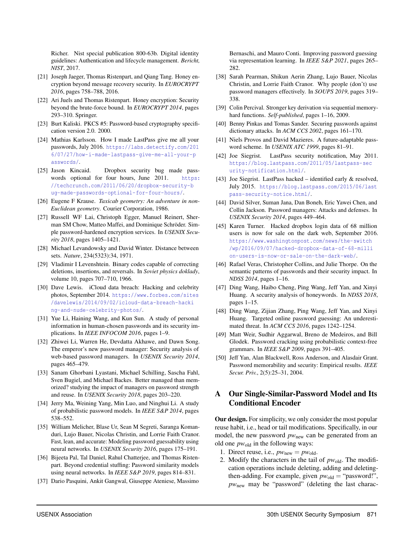Richer. Nist special publication 800-63b. Digital identity guidelines: Authentication and lifecycle management. *Bericht, NIST*, 2017.

- <span id="page-15-20"></span>[21] Joseph Jaeger, Thomas Ristenpart, and Qiang Tang. Honey encryption beyond message recovery security. In *EUROCRYPT 2016*, pages 758–788, 2016.
- <span id="page-15-10"></span>[22] Ari Juels and Thomas Ristenpart. Honey encryption: Security beyond the brute-force bound. In *EUROCRYPT 2014*, pages 293–310. Springer.
- <span id="page-15-16"></span>[23] Burt Kaliski. PKCS #5: Password-based cryptography specification version 2.0. 2000.
- <span id="page-15-11"></span>[24] Mathias Karlsson. How I made LastPass give me all your passwords, July 2016. [https://labs.detectify.com/201](https://labs.detectify.com/2016/07/27/how-i-made-lastpass-give-me-all-your-passwords/) [6/07/27/how-i-made-lastpass-give-me-all-your-p](https://labs.detectify.com/2016/07/27/how-i-made-lastpass-give-me-all-your-passwords/) [asswords/](https://labs.detectify.com/2016/07/27/how-i-made-lastpass-give-me-all-your-passwords/).
- <span id="page-15-0"></span>[25] Jason Kincaid. Dropbox security bug made passwords optional for four hours, June 2011. [https:](https://techcrunch.com/2011/06/20/dropbox-security-bug-made-passwords-optional-for-four-hours/) [//techcrunch.com/2011/06/20/dropbox-security-b](https://techcrunch.com/2011/06/20/dropbox-security-bug-made-passwords-optional-for-four-hours/) [ug-made-passwords-optional-for-four-hours/](https://techcrunch.com/2011/06/20/dropbox-security-bug-made-passwords-optional-for-four-hours/).
- <span id="page-15-28"></span>[26] Eugene F Krause. *Taxicab geometry: An adventure in non-Euclidean geometry*. Courier Corporation, 1986.
- <span id="page-15-19"></span>[27] Russell WF Lai, Christoph Egger, Manuel Reinert, Sherman SM Chow, Matteo Maffei, and Dominique Schröder. Simple password-hardened encryption services. In *USENIX Security 2018*, pages 1405–1421.
- <span id="page-15-29"></span>[28] Michael Levandowsky and David Winter. Distance between sets. *Nature*, 234(5323):34, 1971.
- <span id="page-15-27"></span>[29] Vladimir I Levenshtein. Binary codes capable of correcting deletions, insertions, and reversals. In *Soviet physics doklady*, volume 10, pages 707–710, 1966.
- <span id="page-15-1"></span>[30] Dave Lewis. iCloud data breach: Hacking and celebrity photos, September 2014. [https://www.forbes.com/sites](https://www.forbes.com/sites/davelewis/2014/09/02/icloud-data-breach-hacking-and-nude-celebrity-photos/) [/davelewis/2014/09/02/icloud-data-breach-hacki](https://www.forbes.com/sites/davelewis/2014/09/02/icloud-data-breach-hacking-and-nude-celebrity-photos/) [ng-and-nude-celebrity-photos/](https://www.forbes.com/sites/davelewis/2014/09/02/icloud-data-breach-hacking-and-nude-celebrity-photos/).
- <span id="page-15-30"></span>[31] Yue Li, Haining Wang, and Kun Sun. A study of personal information in human-chosen passwords and its security implications. In *IEEE INFOCOM 2016*, pages 1–9.
- <span id="page-15-12"></span>[32] Zhiwei Li, Warren He, Devdatta Akhawe, and Dawn Song. The emperor's new password manager: Security analysis of web-based password managers. In *USENIX Security 2014*, pages 465–479.
- <span id="page-15-14"></span>[33] Sanam Ghorbani Lyastani, Michael Schilling, Sascha Fahl, Sven Bugiel, and Michael Backes. Better managed than memorized? studying the impact of managers on password strength and reuse. In *USENIX Security 2018*, pages 203–220.
- <span id="page-15-6"></span>[34] Jerry Ma, Weining Yang, Min Luo, and Ninghui Li. A study of probabilistic password models. In *IEEE S&P 2014*, pages 538–552.
- <span id="page-15-22"></span>[35] William Melicher, Blase Ur, Sean M Segreti, Saranga Komanduri, Lujo Bauer, Nicolas Christin, and Lorrie Faith Cranor. Fast, lean, and accurate: Modeling password guessability using neural networks. In *USENIX Security 2016*, pages 175–191.
- <span id="page-15-21"></span>[36] Bijeeta Pal, Tal Daniel, Rahul Chatterjee, and Thomas Ristenpart. Beyond credential stuffing: Password similarity models using neural networks. In *IEEE S&P 2019*, pages 814–831.
- <span id="page-15-25"></span>[37] Dario Pasquini, Ankit Gangwal, Giuseppe Ateniese, Massimo

Bernaschi, and Mauro Conti. Improving password guessing via representation learning. In *IEEE S&P 2021*, pages 265– 282.

- <span id="page-15-15"></span>[38] Sarah Pearman, Shikun Aerin Zhang, Lujo Bauer, Nicolas Christin, and Lorrie Faith Cranor. Why people (don't) use password managers effectively. In *SOUPS 2019*, pages 319– 338.
- <span id="page-15-18"></span>[39] Colin Percival. Stronger key derivation via sequential memoryhard functions. *Self-published*, pages 1–16, 2009.
- <span id="page-15-9"></span>[40] Benny Pinkas and Tomas Sander. Securing passwords against dictionary attacks. In *ACM CCS 2002*, pages 161–170.
- <span id="page-15-17"></span>[41] Niels Provos and David Mazieres. A future-adaptable password scheme. In *USENIX ATC 1999*, pages 81–91.
- <span id="page-15-2"></span>[42] Joe Siegrist. LastPass security notification, May 2011. [https://blog.lastpass.com/2011/05/lastpass-sec](https://blog.lastpass.com/2011/05/lastpass-security-notification.html/) [urity-notification.html/](https://blog.lastpass.com/2011/05/lastpass-security-notification.html/).
- <span id="page-15-3"></span>[43] Joe Siegrist. LastPass hacked – identified early & resolved, July 2015. [https://blog.lastpass.com/2015/06/last](https://blog.lastpass.com/2015/06/lastpass-security-notice.html/) [pass-security-notice.html/](https://blog.lastpass.com/2015/06/lastpass-security-notice.html/).
- <span id="page-15-13"></span>[44] David Silver, Suman Jana, Dan Boneh, Eric Yawei Chen, and Collin Jackson. Password managers: Attacks and defenses. In *USENIX Security 2014*, pages 449–464.
- <span id="page-15-4"></span>[45] Karen Turner. Hacked dropbox login data of 68 million users is now for sale on the dark web, September 2016. [https://www.washingtonpost.com/news/the-switch](https://www.washingtonpost.com/news/the-switch/wp/2016/09/07/hacked-dropbox-data-of-68-million-users-is-now-or-sale-on-the-dark-web/) [/wp/2016/09/07/hacked-dropbox-data-of-68-milli](https://www.washingtonpost.com/news/the-switch/wp/2016/09/07/hacked-dropbox-data-of-68-million-users-is-now-or-sale-on-the-dark-web/) [on-users-is-now-or-sale-on-the-dark-web/](https://www.washingtonpost.com/news/the-switch/wp/2016/09/07/hacked-dropbox-data-of-68-million-users-is-now-or-sale-on-the-dark-web/).
- <span id="page-15-23"></span>[46] Rafael Veras, Christopher Collins, and Julie Thorpe. On the semantic patterns of passwords and their security impact. In *NDSS 2014*, pages 1–16.
- <span id="page-15-26"></span>[47] Ding Wang, Haibo Cheng, Ping Wang, Jeff Yan, and Xinyi Huang. A security analysis of honeywords. In *NDSS 2018*, pages 1–15.
- <span id="page-15-7"></span>[48] Ding Wang, Zijian Zhang, Ping Wang, Jeff Yan, and Xinyi Huang. Targeted online password guessing: An underestimated threat. In *ACM CCS 2016*, pages 1242–1254.
- <span id="page-15-8"></span>[49] Matt Weir, Sudhir Aggarwal, Breno de Medeiros, and Bill Glodek. Password cracking using probabilistic context-free grammars. In *IEEE S&P 2009*, pages 391–405.
- <span id="page-15-5"></span>[50] Jeff Yan, Alan Blackwell, Ross Anderson, and Alasdair Grant. Password memorability and security: Empirical results. *IEEE Secur. Priv.*, 2(5):25–31, 2004.

# <span id="page-15-24"></span>A Our Single-Similar-Password Model and Its Conditional Encoder

Our design. For simplicity, we only consider the most popular reuse habit, i.e., head or tail modifications. Specifically, in our model, the new password  $pw<sub>new</sub>$  can be generated from an old one  $pw<sub>old</sub>$  in the following ways:

- 1. Direct reuse, i.e.,  $pw_{\text{new}} = pw_{\text{old}}$ .
- 2. Modify the characters in the tail of  $pw_{old}$ . The modification operations include deleting, adding and deletingthen-adding. For example, given  $pw_{old}$  = "password!", *pw*new may be "password" (deleting the last charac-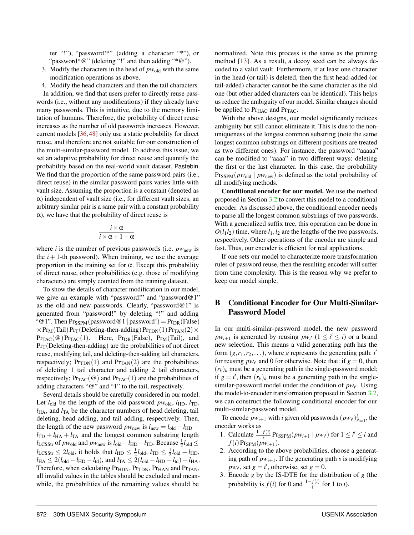ter "!"), "password!\*" (adding a character "\*"), or "password\*@" (deleting "!" and then adding "\*@").

- 3. Modify the characters in the head of  $pw_{old}$  with the same modification operations as above.
- 4. Modify the head characters and then the tail characters.

In addition, we find that users prefer to directly reuse passwords (i.e., without any modifications) if they already have many passwords. This is intuitive, due to the memory limitation of humans. Therefore, the probability of direct reuse increases as the number of old passwords increases. However, current models [\[36,](#page-15-21) [48\]](#page-15-7) only use a static probability for direct reuse, and therefore are not suitable for our construction of the multi-similar-password model. To address this issue, we set an adaptive probability for direct reuse and quantify the probability based on the real-world vault dataset, Pastebin. We find that the proportion of the same password pairs (i.e., direct reuse) in the similar password pairs varies little with vault size. Assuming the proportion is a constant (denoted as  $\alpha$ ) independent of vault size (i.e., for different vault sizes, an arbitrary similar pair is a same pair with a constant probability  $\alpha$ ), we have that the probability of direct reuse is

$$
\frac{i\times\alpha}{i\times\alpha+1-\alpha}
$$

,

where *i* is the number of previous passwords (i.e.  $pw_{\text{new}}$  is the  $i + 1$ -th password). When training, we use the average proportion in the training set for α. Except this probability of direct reuse, other probabilities (e.g. those of modifying characters) are simply counted from the training dataset.

To show the details of character modification in our model, we give an example with "password!" and "password@1" as the old and new passwords. Clearly, "password@1" is generated from "password!" by deleting "!" and adding "@1". Then  $Pr_{SSPM}(password@1 | password!) = Pr_{DR}(False)$  $\times$  Pr<sub>M</sub>(Tail) Pr<sub>T</sub>(Deleting-then-adding) Pr<sub>TDN</sub>(1) Pr<sub>TAN</sub>(2)  $\times$  $Pr_{TAC}(\omega) Pr_{TAC}(1)$ . Here,  $Pr_{DR}(False)$ ,  $Pr_{M}(Tail)$ , and  $Pr<sub>T</sub>(Deleting-then-adding)$  are the probabilities of not direct reuse, modifying tail, and deleting-then-adding tail characters, respectively;  $Pr<sub>TDN</sub>(1)$  and  $Pr<sub>TAN</sub>(2)$  are the probabilities of deleting 1 tail character and adding 2 tail characters, respectively;  $Pr_{TAC}(\omega)$  and  $Pr_{TAC}(1)$  are the probabilities of adding characters "@" and "1" to the tail, respectively.

Several details should be carefully considered in our model. Let  $l_{old}$  be the length of the old password  $pw_{old}$ ,  $l_{HD}$ ,  $l_{TD}$ ,  $l_{\text{HA}}$ , and  $l_{\text{TA}}$  be the character numbers of head deleting, tail deleting, head adding, and tail adding, respectively. Then, the length of the new password  $pw_{\text{new}}$  is  $l_{\text{new}} = l_{\text{old}} - l_{\text{HD}}$  −  $l_{\text{TD}} + l_{\text{HA}} + l_{\text{TA}}$  and the longest common substring length  $l_{\text{LCSStr}}$  of  $pw_{\text{old}}$  and  $pw_{\text{new}}$  is  $l_{\text{old}} - l_{\text{HD}} - l_{\text{TD}}$ . Because  $\frac{1}{2}l_{\text{old}} \leq$  $l_{\text{LCSStr}} \leq 2l_{\text{old}}$ , it holds that  $l_{\text{HD}} \leq \frac{1}{2}l_{\text{old}}$ ,  $l_{\text{TD}} \leq \frac{1}{2}l_{\text{old}} - l_{\text{HD}}$ ,  $l_{\text{HA}} \leq 2(l_{\text{old}} - l_{\text{HD}} - l_{\text{td}}),$  and  $l_{\text{TA}} \leq 2(l_{\text{old}} - l_{\text{HD}} - l_{\text{td}}) - l_{\text{HA}}.$ Therefore, when calculating Pr<sub>HDN</sub>, Pr<sub>TDN</sub>, Pr<sub>HAN</sub> and Pr<sub>TAN</sub>, all invalid values in the tables should be excluded and meanwhile, the probabilities of the remaining values should be

normalized. Note this process is the same as the pruning method [\[13\]](#page-14-6). As a result, a decoy seed can be always decoded to a valid vault. Furthermore, if at least one character in the head (or tail) is deleted, then the first head-added (or tail-added) character cannot be the same character as the old one (but other added characters can be identical). This helps us reduce the ambiguity of our model. Similar changes should be applied to  $Pr_{HAC}$  and  $Pr_{TAC}$ .

With the above designs, our model significantly reduces ambiguity but still cannot eliminate it. This is due to the nonuniqueness of the longest common substring (note the same longest common substrings on different positions are treated as two different ones). For instance, the password "aaaaa" can be modified to "aaaa" in two different ways: deleting the first or the last character. In this case, the probability  $Pr_{SSPM}(pw_{old} | pw_{new})$  is defined as the total probability of all modifying methods.

Conditional encoder for our model. We use the method proposed in Section [3.2](#page-4-2) to convert this model to a conditional encoder. As discussed above, the conditional encoder needs to parse all the longest common substrings of two passwords. With a generalized suffix tree, this operation can be done in  $O(l_1 l_2)$  time, where  $l_1, l_2$  are the lengths of the two passwords, respectively. Other operations of the encoder are simple and fast. Thus, our encoder is efficient for real applications.

If one sets our model to characterize more transformation rules of password reuse, then the resulting encoder will suffer from time complexity. This is the reason why we prefer to keep our model simple.

# <span id="page-16-0"></span>B Conditional Encoder for Our Multi-Similar-Password Model

In our multi-similar-password model, the new password  $pw_{i+1}$  is generated by reusing  $pw_{i'}$  ( $1 \leq i' \leq i$ ) or a brand new selection. This means a valid generating path has the form  $(g, r_1, r_2, \dots)$ , where *g* represents the generating path: *i* for reusing  $pw_{i'}$  and 0 for otherwise. Note that: if  $g = 0$ , then  $(r_k)_k$  must be a generating path in the single-password model; if  $g = i'$ , then  $(r_k)_k$  must be a generating path in the singlesimilar-password model under the condition of  $pw_{i'}$ . Using the model-to-encoder transformation proposed in Section [3.2,](#page-4-2) we can construct the following conditional encoder for our multi-similar-password model.

To encode  $pw_{i+1}$  with *i* given old passwords  $(pw_{i'})_{i'=1}^i$ , the encoder works as

- 1. Calculate  $\frac{1-f(i)}{i}$  Pr<sub>SSPM</sub>( $pw_{i+1} \mid pw_{i'}$ ) for  $1 \leq i' \leq i$  and  $f(i)$ Pr<sub>SPM</sub> $(pw_{i+1})$ .
- 2. According to the above probabilities, choose a generating path of  $pw_{i+1}$ . If the generating path *s* is modifying  $pw_{i'}$ , set  $g = i'$ , otherwise, set  $g = 0$ .
- 3. Encode *g* by the IS-DTE for the distribution of *g* (the probability is  $f(i)$  for 0 and  $\frac{1-f(i)}{i}$  for 1 to *i*).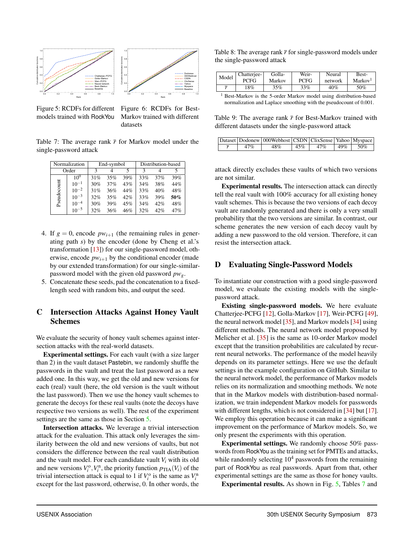<span id="page-17-2"></span>

Figure 5: RCDFs for different models trained with RockYou

Figure 6: RCDFs for Best-Markov trained with different datasets

<span id="page-17-3"></span>Table 7: The average rank  $\bar{r}$  for Markov model under the single-password attack

|             | Normalization |     | End-symbol |     | Distribution-based |     |     |
|-------------|---------------|-----|------------|-----|--------------------|-----|-----|
| Order       |               | κ   | 4          |     | 3                  |     |     |
|             | $10^{0}$      | 31% | 35%        | 39% | 33%                | 37% | 39% |
|             | $10^{-1}$     | 30% | 37%        | 43% | 34%                | 38% | 44% |
|             | $10^{-2}$     | 31% | 36%        | 44% | 33%                | 40% | 48% |
| Pseudocount | $10^{-3}$     | 32% | 35%        | 42% | 33%                | 39% | 50% |
|             | $10^{-4}$     | 30% | 39%        | 45% | 34%                | 42% | 48% |
|             | $10^{-5}$     | 32% | 36%        | 46% | 32%                | 42% | 47% |

- 4. If  $g = 0$ , encode  $pw_{i+1}$  (the remaining rules in generating path *s*) by the encoder (done by Cheng et al.'s transformation [\[13\]](#page-14-6)) for our single-password model, otherwise, encode  $pw_{i+1}$  by the conditional encoder (made by our extended transformation) for our single-similarpassword model with the given old password *pwg*.
- 5. Concatenate these seeds, pad the concatenation to a fixedlength seed with random bits, and output the seed.

# <span id="page-17-0"></span>C Intersection Attacks Against Honey Vault Schemes

We evaluate the security of honey vault schemes against intersection attacks with the real-world datasets.

Experimental settings. For each vault (with a size larger than 2) in the vault dataset Pastebin, we randomly shuffle the passwords in the vault and treat the last password as a new added one. In this way, we get the old and new versions for each (real) vault (here, the old version is the vault without the last password). Then we use the honey vault schemes to generate the decoys for these real vaults (note the decoys have respective two versions as well). The rest of the experiment settings are the same as those in Section [5.](#page-11-1)

Intersection attacks. We leverage a trivial intersection attack for the evaluation. This attack only leverages the similarity between the old and new versions of vaults, but not considers the difference between the real vault distribution and the vault model. For each candidate vault *V<sup>i</sup>* with its old and new versions  $V_i^{\text{o}}, V_i^{\text{n}}$ , the priority function  $p_{\text{TIA}}(V_i)$  of the trivial intersection attack is equal to 1 if  $V_i^{\text{o}}$  is the same as  $V_i^{\text{n}}$ except for the last password, otherwise, 0. In other words, the

<span id="page-17-4"></span>Table 8: The average rank  $\bar{r}$  for single-password models under the single-password attack

| Model | Chatterjee- | Golla- | Weir- | Neural  | Best-               |
|-------|-------------|--------|-------|---------|---------------------|
|       | PCFG        | Markov | PCFG  | network | Markov <sup>1</sup> |
|       | 18%         | 35%    | 33%   | 40%     | 50%                 |

<sup>1</sup> Best-Markov is the 5-order Markov model using distribution-based normalization and Laplace smoothing with the pseudocount of 0.001.

<span id="page-17-5"></span>Table 9: The average rank  $\bar{r}$  for Best-Markov trained with different datasets under the single-password attack

|     | Dataset   Dodonew   000Webhost   CSDN   ClixSense   Yahoo   Myspace |                |              |
|-----|---------------------------------------------------------------------|----------------|--------------|
| 47% | 48%                                                                 | $145\%$ $47\%$ | $149\%$ 50\% |

attack directly excludes these vaults of which two versions are not similar.

Experimental results. The intersection attack can directly tell the real vault with 100% accuracy for all existing honey vault schemes. This is because the two versions of each decoy vault are randomly generated and there is only a very small probability that the two versions are similar. In contrast, our scheme generates the new version of each decoy vault by adding a new password to the old version. Therefore, it can resist the intersection attack.

## <span id="page-17-1"></span>D Evaluating Single-Password Models

To instantiate our construction with a good single-password model, we evaluate the existing models with the singlepassword attack.

Existing single-password models. We here evaluate Chatterjee-PCFG [\[12\]](#page-14-4), Golla-Markov [\[17\]](#page-14-5), Weir-PCFG [\[49\]](#page-15-8), the neural network model [\[35\]](#page-15-22), and Markov models [\[34\]](#page-15-6) using different methods. The neural network model proposed by Melicher et al. [\[35\]](#page-15-22) is the same as 10-order Markov model except that the transition probabilities are calculated by recurrent neural networks. The performance of the model heavily depends on its parameter settings. Here we use the default settings in the example configuration on GitHub. Similar to the neural network model, the performance of Markov models relies on its normalization and smoothing methods. We note that in the Markov models with distribution-based normalization, we train independent Markov models for passwords with different lengths, which is not considered in [\[34\]](#page-15-6) but [\[17\]](#page-14-5). We employ this operation because it can make a significant improvement on the performance of Markov models. So, we only present the experiments with this operation.

Experimental settings. We randomly choose 50% passwords from RockYou as the training set for PMTEs and attacks, while randomly selecting  $10<sup>4</sup>$  passwords from the remaining part of RockYou as real passwords. Apart from that, other experimental settings are the same as those for honey vaults.

Experimental results. As shown in Fig. [5,](#page-17-2) Tables [7](#page-17-3) and